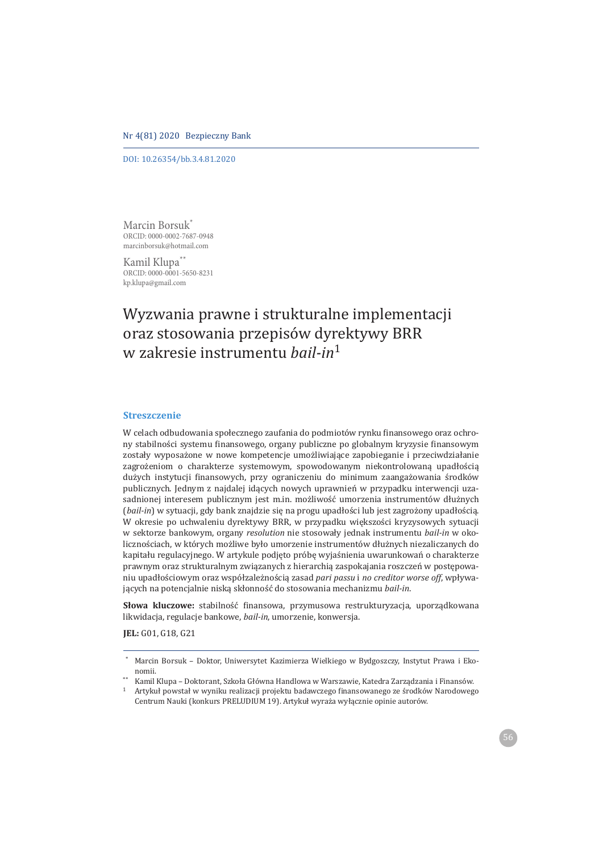#### Nr 4(81) 2020 Bezpieczny Bank

DOI: 10.26354/bb.3.4.81.2020

Marcin Borsuk<sup>\*</sup><br>
ORCID: 0000-0002-7687-0948 onou 1000 0000 1001 0102<br>marcinborsuk@hotmail.com

marcinborsuk@hotmail.com Kamil Klupa<sup>\*\*</sup><br>ORCID: 0000-0001-5650-8231 on on on out of the state and a<br>kn klupa@email.com

 $k$ <sub>k</sub> married  $k$  of  $\sigma$   $\sigma$   $\sigma$  . The matrice of  $k$ 

# Wyzwania prawne i strukturalne implementacji oraz stosowania przepisów dyrektywy BRR *w* zakresię instrumentų *bail-in*<sup>1</sup>

### **Streszczenie**

W celach odbudowania społecznego zaufania do podmiotów rynku finansowego oraz ochrony stabilności systemu finansowego, organy publiczne po globalnym kryzysie finansowym zostały wyposażone w nowe kompetencje umożliwiające zapobieganie i przeciwdziałanie zagrożeniom o charakterze systemowym, spowodowanym niekontrolowaną upadłością dużych instytucji finansowych, przy ograniczeniu do minimum zaangażowania środków publicznych. Jednym z najdalej idących nowych uprawnień w przypadku interwencji uzasadnionej interesem publicznym jest m.in. możliwość umorzenia instrumentów dłużnych (bail-in) w sytuacji, gdy bank znajdzie się na progu upadłości lub jest zagrożony upadłością. W okresie po uchwaleniu dyrektywy BRR, w przypadku większości kryzysowych sytuacji w sektorze bankowym, organy resolution nie stosowały jednak instrumentu bail-in w okolicznościach, w których możliwe było umorzenie instrumentów dłużnych niezaliczanych do kapitału regulacyjnego. W artykule podjęto próbę wyjaśnienia uwarunkowań o charakterze prawnym oraz strukturalnym związanych z hierarchią zaspokajania roszczeń w postępowaniu upadłościowym oraz współzależnością zasad pari passu *i no creditor worse off*, wpływających na potencjalnie niską skłonność do stosowania mechanizmu bail-in.

Słowa kluczowe: stabilność finansowa, przymusowa restrukturyzacja, uporządkowana likwidacja, regulacje bankowe, *bail-in*, umorzenie, konwersja.

**JEL**: G01, G18, G21

Marcin Borsuk - Doktor, Uniwersytet Kazimierza Wielkiego w Bydgoszczy, Instytut Prawa i Ekonomii.

<sup>\*\*</sup> Kamil Klupa – Doktorant, Szkoła Główna Handlowa w Warszawie, Katedra Zarządzania i Finansów.

<sup>1</sup> Artykuł powstał w wyniku realizacji projektu badawczego finansowanego ze środków Narodowego Centrum Nauki (konkurs PRELUDIUM 19). Artykuł wyraża wyłącznie opinie autorów.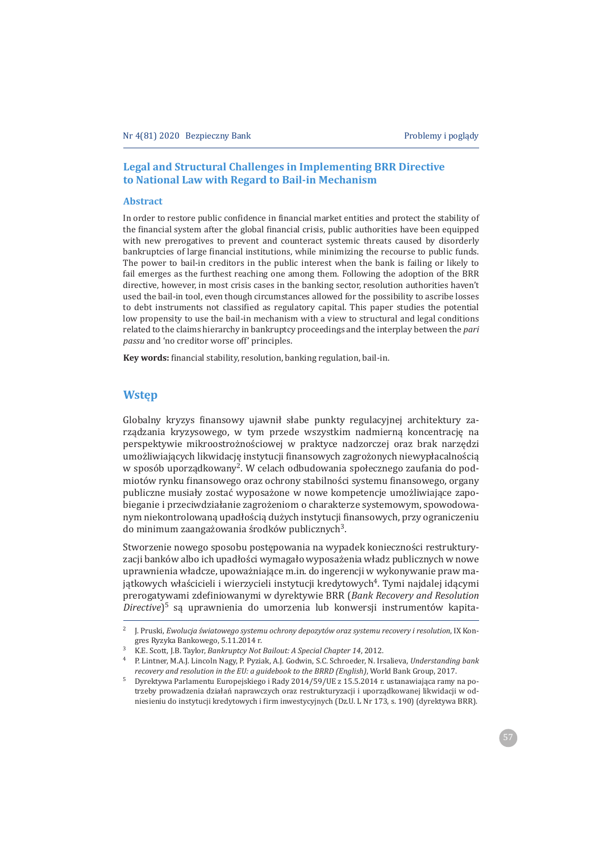### **Legal and Structural Challenges in Implementing BRR Directive** to National Law with Regard to Bail-in Mechanism

#### **Abstract**

In order to restore public confidence in financial market entities and protect the stability of the financial system after the global financial crisis, public authorities have been equipped with new prerogatives to prevent and counteract systemic threats caused by disorderly bankruptcies of large financial institutions, while minimizing the recourse to public funds. The power to bail-in creditors in the public interest when the bank is failing or likely to fail emerges as the furthest reaching one among them. Following the adoption of the BRR directive, however, in most crisis cases in the banking sector, resolution authorities haven't used the bail-in tool, even though circumstances allowed for the possibility to ascribe losses to debt instruments not classified as regulatory capital. This paper studies the potential low propensity to use the bail-in mechanism with a view to structural and legal conditions related to the claims hierarchy in bankruptcy proceedings and the interplay between the pari *passu* and 'no creditor worse off' principles.

Key words: financial stability, resolution, banking regulation, bail-in.

# **Wstep**

Globalny kryzys finansowy ujawnił słabe punkty regulacyjnej architektury zarządzania kryzysowego, w tym przede wszystkim nadmierna koncentracje na perspektywie mikroostrożnościowej w praktyce nadzorczej oraz brak narzędzi umożliwiających likwidację instytucji finansowych zagrożonych niewypłacalnością w sposób uporządkowany<sup>2</sup>. W celach odbudowania społecznego zaufania do podmiotów rynku finansowego oraz ochrony stabilności systemu finansowego, organy publiczne musiały zostać wyposażone w nowe kompetencje umożliwiające zapobieganie i przeciwdziałanie zagrożeniom o charakterze systemowym, spowodowanym niekontrolowana upadłościa dużych instytucji finansowych, przy ograniczeniu do minimum zaangażowania środków publicznych<sup>3</sup>.

Stworzenie nowego sposobu postępowania na wypadek konieczności restrukturyzacji banków albo ich upadłości wymagało wyposażenia władz publicznych w nowe uprawnienia władcze, upoważniające m.in. do ingerencji w wykonywanie praw majątkowych właścicieli i wierzycieli instytucji kredytowych<sup>4</sup>. Tymi najdalej idącymi prerogatywami zdefiniowanymi w dyrektywie BRR (Bank Recovery and Resolution Directive)<sup>5</sup> sa uprawnienia do umorzenia lub konwersji instrumentów kapita-

<sup>&</sup>lt;sup>2</sup> J. Pruski, *Ewolucja światowego systemu ochrony depozytów oraz systemu recovery i resolution*, IX Kongres Ryzyka Bankowego, 5.11.2014 r.

<sup>&</sup>lt;sup>3</sup> K.E. Scott, J.B. Taylor, Bankruptcy Not Bailout: A Special Chapter 14, 2012.

<sup>&</sup>lt;sup>4</sup> P. Lintner, M.A.J. Lincoln Nagy, P. Pyziak, A.J. Godwin, S.C. Schroeder, N. Irsalieva, Understanding bank recovery and resolution in the EU: a guidebook to the BRRD (English), World Bank Group, 2017.

<sup>&</sup>lt;sup>5</sup> Dyrektywa Parlamentu Europejskiego i Rady 2014/59/UE z 15.5.2014 r. ustanawiająca ramy na potrzeby prowadzenia działań naprawczych oraz restrukturyzacji i uporządkowanej likwidacji w odniesieniu do instytucji kredytowych i firm inwestycyjnych (Dz.U. L Nr 173, s. 190) (dyrektywa BRR).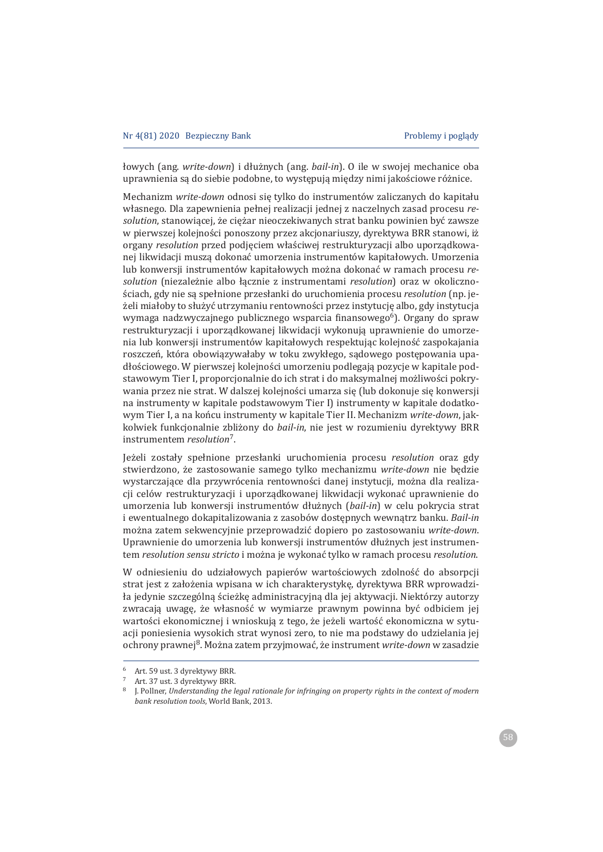łowych (ang. write-down) i dłużnych (ang. bail-in). O ile w swojej mechanice oba uprawnienia są do siebie podobne, to występują między nimi jakościowe różnice.

Mechanizm write-down odnosi się tylko do instrumentów zaliczanych do kapitału własnego. Dla zapewnienia pełnej realizacji jednej z naczelnych zasad procesu re*solution*, stanowiącej, że ciężar nieoczekiwanych strat banku powinien być zawsze w pierwszej kolejności ponoszony przez akcjonariuszy, dyrektywa BRR stanowi, iż organy *resolution* przed podjęciem właściwej restrukturyzacji albo uporządkowanej likwidacji muszą dokonać umorzenia instrumentów kapitałowych. Umorzenia lub konwersji instrumentów kapitałowych można dokonać w ramach procesu resolution (niezależnie albo łącznie z instrumentami resolution) oraz w okolicznościach, gdy nie są spełnione przesłanki do uruchomienia procesu *resolution* (np. jeżeli miałoby to służyć utrzymaniu rentowności przez instytucję albo, gdy instytucja wymaga nadzwyczajnego publicznego wsparcia finansowego<sup>6</sup>). Organy do spraw restrukturyzacji i uporządkowanej likwidacji wykonują uprawnienie do umorzenia lub konwersji instrumentów kapitałowych respektując kolejność zaspokajania roszczeń, która obowiązywałaby w toku zwykłego, sądowego postępowania upadłościowego. W pierwszej kolejności umorzeniu podlegają pozycje w kapitale podstawowym Tier I, proporcjonalnie do ich strat i do maksymalnej możliwości pokrywania przez nie strat. W dalszej kolejności umarza się (lub dokonuje się konwersji na instrumenty w kapitale podstawowym Tier I) instrumenty w kapitale dodatkowym Tier I, a na końcu instrumenty w kapitale Tier II. Mechanizm write-down, jakkolwiek funkcjonalnie zbliżony do *bail-in*, nie jest w rozumieniu dyrektywy BRR instrumentem *resolution*<sup>7</sup>.

Jeżeli zostały spełnione przesłanki uruchomienia procesu *resolution* oraz gdy stwierdzono, że zastosowanie samego tylko mechanizmu write-down nie będzie wystarczające dla przywrócenia rentowności danej instytucji, można dla realizacji celów restrukturyzacji i uporzadkowanej likwidacji wykonać uprawnienie do umorzenia lub konwersji instrumentów dłużnych (bail-in) w celu pokrycia strat i ewentualnego dokapitalizowania z zasobów dostępnych wewnątrz banku. Bail-in można zatem sekwencyjnie przeprowadzić dopiero po zastosowaniu write-down. Uprawnienie do umorzenia lub konwersji instrumentów dłużnych jest instrumentem *resolution sensu stricto i* można je wykonać tylko w ramach procesu *resolution*.

W odniesieniu do udziałowych papierów wartościowych zdolność do absorpcji strat jest z założenia wpisana w ich charakterystykę, dyrektywa BRR wprowadziła jedynie szczególną ścieżkę administracyjną dla jej aktywacji. Niektórzy autorzy zwracają uwagę, że własność w wymiarze prawnym powinna być odbiciem jej wartości ekonomicznej i wnioskują z tego, że jeżeli wartość ekonomiczna w sytuacji poniesienia wysokich strat wynosi zero, to nie ma podstawy do udzielania jej ochrony prawnej<sup>8</sup>. Można zatem przyjmować, że instrument write-down w zasadzie

<sup>6</sup> Art. 59 ust. 3 dyrektywy BRR.

<sup>7</sup> Art. 37 ust. 3 dyrektywy BRR.

<sup>&</sup>lt;sup>8</sup> I. Pollner, Understanding the legal rationale for infringing on property rights in the context of modern *bank resolution tools*, World Bank, 2013.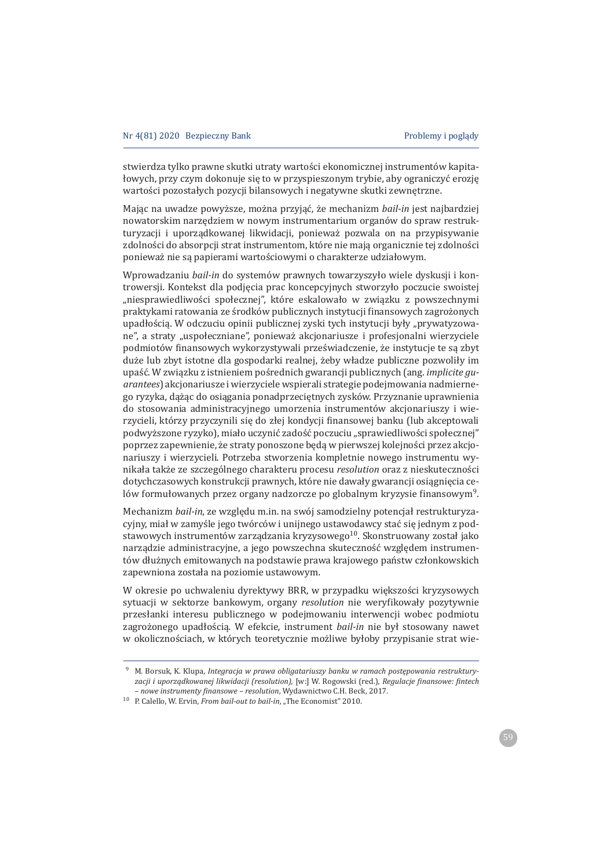stwierdza tylko prawne skutki utraty wartości ekonomicznej instrumentów kapitałowych, przy czym dokonuje się to w przyspieszonym trybie, aby ograniczyć erozje wartości pozostałych pozycji bilansowych i negatywne skutki zewnętrzne.

Mając na uwadze powyższe, można przyjąć, że mechanizm bail-in jest najbardziej nowatorskim narzędziem w nowym instrumentarium organów do spraw restrukturyzacji i uporządkowanej likwidacji, ponieważ pozwala on na przypisywanie zdolności do absorpcji strat instrumentom, które nie mają organicznie tej zdolności ponieważ nie są papierami wartościowymi o charakterze udziałowym.

Wprowadzaniu bail-in do systemów prawnych towarzyszyło wiele dyskusji i kontrowersji. Kontekst dla podjecia prac koncepcyjnych stworzyło poczucie swoistej "niesprawiedliwości społecznej", które eskalowało w związku z powszechnymi praktykami ratowania ze środków publicznych instytucji finansowych zagrożonych upadłościa. W odczuciu opinii publicznej zyski tych instytucji były "prywatyzowane", a straty "uspołeczniane", ponieważ akcjonariusze i profesjonalni wierzyciele podmiotów finansowych wykorzystywali przeświadczenie, że instytucje te są zbyt duże lub zbyt istotne dla gospodarki realnej, żeby władze publiczne pozwoliły im upaść. W związku z istnieniem pośrednich gwarancji publicznych (ang. *implicite quarantees*) akcjonariusze i wierzyciele wspierali strategie podejmowania nadmiernego ryzyka, dążąc do osiągania ponadprzeciętnych zysków. Przyznanie uprawnienia do stosowania administracyjnego umorzenia instrumentów akcjonariuszy i wierzycieli, którzy przyczynili się do złej kondycji finansowej banku (lub akceptowali podwyższone ryzyko), miało uczynić zadość poczuciu "sprawiedliwości społecznej" poprzez zapewnienie, że straty ponoszone będą w pierwszej kolejności przez akcjonariuszy i wierzycieli. Potrzeba stworzenia kompletnie nowego instrumentu wynikała także ze szczególnego charakteru procesu resolution oraz z nieskuteczności dotychczasowych konstrukcji prawnych, które nie dawały gwarancji osiągnięcia celów formułowanych przez organy nadzorcze po globalnym kryzysie finansowym<sup>9</sup>.

Mechanizm bail-in, ze względu m.in. na swój samodzielny potencjał restrukturyzacyjny, miał w zamyśle jego twórców i unijnego ustawodawcy stać się jednym z podstawowych instrumentów zarządzania kryzysowego<sup>10</sup>. Skonstruowany został jako narzadzie administracyjne, a jego powszechna skuteczność wzgledem instrumentów dłużnych emitowanych na podstawie prawa krajowego państw członkowskich zapewniona została na poziomie ustawowym.

W okresie po uchwaleniu dyrektywy BRR, w przypadku większości kryzysowych sytuacji w sektorze bankowym, organy *resolution* nie weryfikowały pozytywnie przesłanki interesu publicznego w podejmowaniu interwencji wobec podmiotu zagrożonego upadłościa. W efekcie, instrument *bail-in* nie był stosowany nawet w okolicznościach, w których teoretycznie możliwe byłoby przypisanie strat wie-

<sup>&</sup>lt;sup>9</sup> M. Borsuk, K. Klupa, *Integracja w prawa obligatariuszy banku w ramach postepowania restrukturyzacji i uporz¦dkowanej likwidacji (resolution)*ǡȏǣȐǤȋǤȌǡ*Regulacje ϔinansowe: ϔintech – nowe instrumenty finansowe – resolution*, Wydawnictwo C.H. Beck, 2017.

<sup>&</sup>lt;sup>10</sup> P. Calello, W. Ervin, *From bail-out to bail-in*, "The Economist" 2010.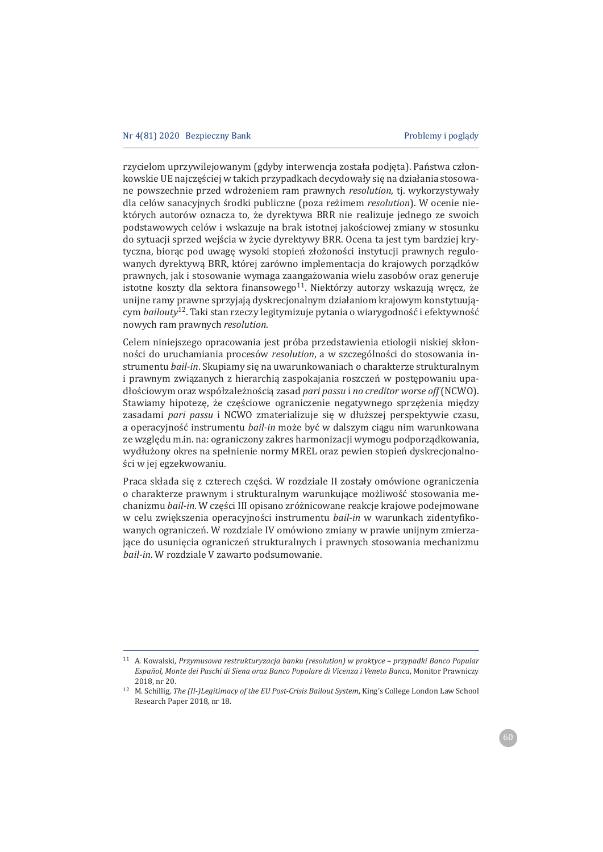rzycielom uprzywilejowanym (gdyby interwencja została podjęta). Państwa członkowskie UE najcześciej w takich przypadkach decydowały się na działania stosowane powszechnie przed wdrożeniem ram prawnych *resolution*, tj. wykorzystywały dla celów sanacyjnych środki publiczne (poza reżimem *resolution*). W ocenie niektórych autorów oznacza to, że dyrektywa BRR nie realizuje jednego ze swoich podstawowych celów i wskazuje na brak istotnej jakościowej zmiany w stosunku do sytuacji sprzed wejścia w życie dyrektywy BRR. Ocena ta jest tym bardziej krytyczna, biorąc pod uwagę wysoki stopień złożoności instytucji prawnych regulowanych dyrektywa BRR, której zarówno implementacja do krajowych porządków prawnych, jak i stosowanie wymaga zaangażowania wielu zasobów oraz generuje istotne koszty dla sektora finansowego<sup>11</sup>. Niektórzy autorzy wskazują wręcz, że unijne ramy prawne sprzyjają dyskrecjonalnym działaniom krajowym konstytuującym *bailouty*<sup>12</sup>. Taki stan rzeczy legitymizuje pytania o wiarygodność i efektywność *nowych ram prawnych resolution.* 

Celem niniejszego opracowania jest próba przedstawienia etiologii niskiej skłonności do uruchamiania procesów *resolution*, a w szczególności do stosowania instrumentu bail-in. Skupiamy się na uwarunkowaniach o charakterze strukturalnym i prawnym związanych z hierarchią zaspokajania roszczeń w postępowaniu upadłościowym oraz współzależnością zasad pari passu *i no creditor worse off* (NCWO). Stawiamy hipotezę, że częściowe ograniczenie negatywnego sprzężenia między zasadami pari passu i NCWO zmaterializuje się w dłuższej perspektywie czasu, a operacyjność instrumentu *bail-in* może być w dalszym ciągu nim warunkowana ze względu m.in. na: ograniczony zakres harmonizacji wymogu podporządkowania, wydłużony okres na spełnienie normy MREL oraz pewien stopień dyskrecjonalności w jej egzekwowaniu.

Praca składa się z czterech części. W rozdziale II zostały omówione ograniczenia o charakterze prawnym i strukturalnym warunkujące możliwość stosowania mechanizmu bail-in. W części III opisano zróżnicowane reakcje krajowe podejmowane w celu zwiększenia operacyjności instrumentu bail-in w warunkach zidentyfikowanych ograniczeń. W rozdziale IV omówiono zmiany w prawie unijnym zmierzajace do usuniecia ograniczeń strukturalnych i prawnych stosowania mechanizmu *bail-in*. W rozdziale V zawarto podsumowanie.

<sup>&</sup>lt;sup>11</sup> A. Kowalski, Przymusowa restrukturyzacja banku (resolution) w praktyce – przypadki Banco Popular *Español, Monte dei Paschi di Siena oraz Banco Popolare di Vicenza i Veneto Banca*ǡ 2018, nr 20.

<sup>&</sup>lt;sup>12</sup> M. Schillig, The (Il-)Legitimacy of the EU Post-Crisis Bailout System, King's College London Law School Research Paper 2018, nr 18.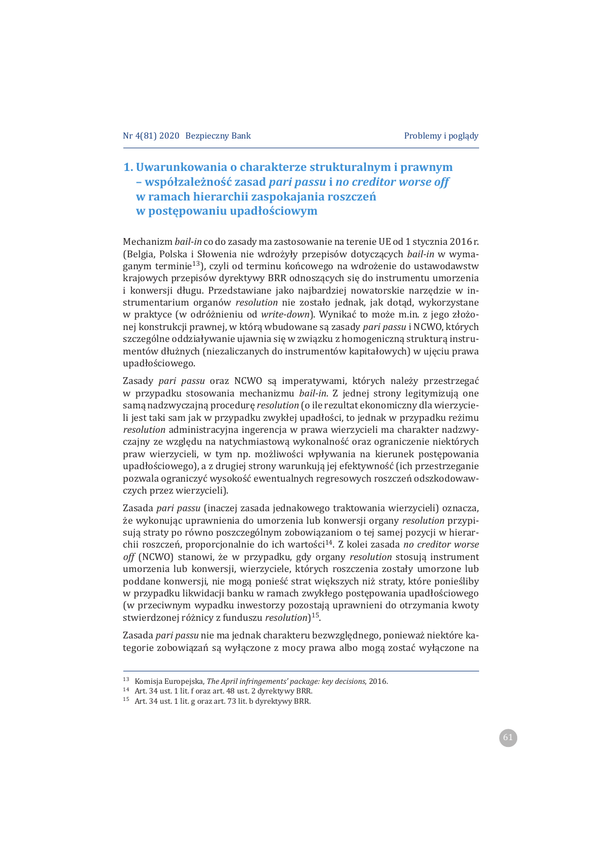# 1. Uwarunkowania o charakterze strukturalnym i prawnym - współzależność zasad pari passu i no creditor worse off w ramach hierarchii zaspokajania roszczeń w postępowaniu upadłościowym

Mechanizm bail-in co do zasady ma zastosowanie na terenie UE od 1 stycznia 2016 r. (Belgia, Polska i Słowenia nie wdrożyły przepisów dotyczących bail-in w wymaganym terminie<sup>13</sup>), czyli od terminu końcowego na wdrożenie do ustawodawstw krajowych przepisów dyrektywy BRR odnoszących się do instrumentu umorzenia i konwersji długu. Przedstawiane jako najbardziej nowatorskie narzędzie w instrumentarium organów resolution nie zostało jednak, jak dotąd, wykorzystane w praktyce (w odróżnieniu od write-down). Wynikać to może m.in. z jego złożonej konstrukcji prawnej, w którą wbudowane są zasady pari passu i NCWO, których szczególne oddziaływanie ujawnia się w związku z homogeniczną strukturą instrumentów dłużnych (niezaliczanych do instrumentów kapitałowych) w ujeciu prawa upadłościowego.

Zasady pari passu oraz NCWO są imperatywami, których należy przestrzegać w przypadku stosowania mechanizmu bail-in. Z jednej strony legitymizują one sama nadzwyczajna procedure resolution (o ile rezultat ekonomiczny dla wierzycieli jest taki sam jak w przypadku zwykłej upadłości, to jednak w przypadku reżimu resolution administracyjna ingerencja w prawa wierzycieli ma charakter nadzwyczajny ze względu na natychmiastową wykonalność oraz ograniczenie niektórych praw wierzycieli, w tym np. możliwości wpływania na kierunek postepowania upadłościowego), a z drugiej strony warunkują jej efektywność (ich przestrzeganie pozwala ograniczyć wysokość ewentualnych regresowych roszczeń odszkodowawczych przez wierzycieli).

Zasada pari passu (inaczei zasada iednakowego traktowania wierzycieli) oznacza. że wykonując uprawnienia do umorzenia lub konwersii organy resolution przypisują straty po równo poszczególnym zobowiązaniom o tej samej pozycji w hierarchii roszczeń, proporcjonalnie do ich wartości<sup>14</sup>. Z kolei zasada no creditor worse off (NCWO) stanowi, że w przypadku, gdy organy resolution stosują instrument umorzenia lub konwersji, wierzyciele, których roszczenia zostały umorzone lub poddane konwersji, nie mogą ponieść strat większych niż straty, które ponieśliby w przypadku likwidacji banku w ramach zwykłego postepowania upadłościowego (w przeciwnym wypadku inwestorzy pozostają uprawnieni do otrzymania kwoty stwierdzonej różnicy z funduszu resolution<sup>15</sup>.

Zasada pari passu nie ma jednak charakteru bezwzględnego, ponieważ niektóre kategorie zobowiązań są wyłączone z mocy prawa albo mogą zostać wyłączone na

<sup>&</sup>lt;sup>13</sup> Komisja Europejska, The April infringements' package: key decisions, 2016.

<sup>&</sup>lt;sup>14</sup> Art. 34 ust. 1 lit. f oraz art. 48 ust. 2 dyrektywy BRR.

<sup>&</sup>lt;sup>15</sup> Art. 34 ust. 1 lit. g oraz art. 73 lit. b dyrektywy BRR.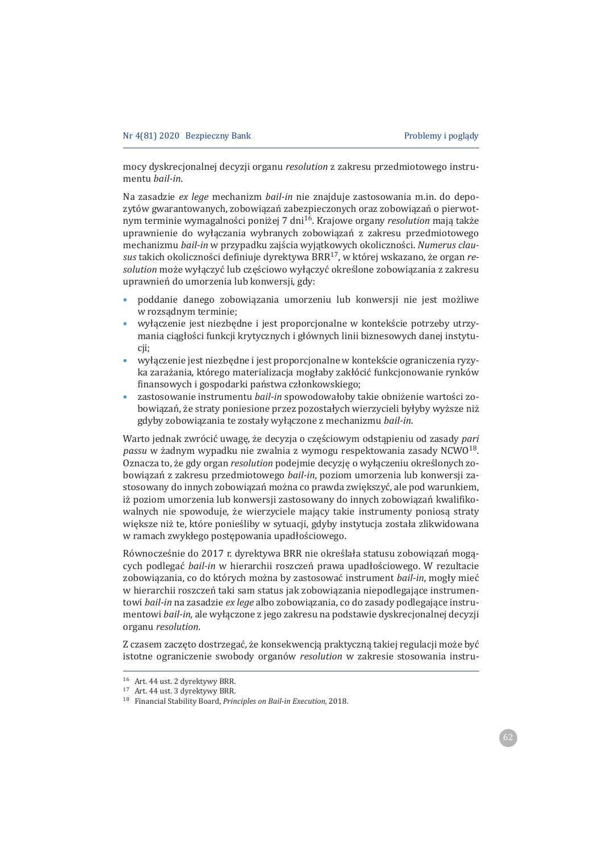mocy dyskrecjonalnej decyzji organu *resolution* z zakresu przedmiotowego instrumentu *bail-in*.

Na zasadzie ex lege mechanizm bail-in nie znajduje zastosowania m.in. do depozytów gwarantowanych, zobowiązań zabezpieczonych oraz zobowiązań o pierwotnym terminie wymagalności poniżej 7 dni<sup>16</sup>. Krajowe organy resolution mają także uprawnienie do wyłączania wybranych zobowiązań z zakresu przedmiotowego mechanizmu bail-in w przypadku zajścia wyjątkowych okoliczności. Numerus clausus takich okoliczności definiuje dyrektywa BRR<sup>17</sup>, w której wskazano, że organ re*solution* może wyłączyć lub częściowo wyłączyć określone zobowiązania z zakresu uprawnień do umorzenia lub konwersji, gdy:

- poddanie danego zobowiązania umorzeniu lub konwersji nie jest możliwe w rozsadnym terminie;
- wyłaczenie jest niezbedne i jest proporcjonalne w kontekście potrzeby utrzymania ciągłości funkcji krytycznych i głównych linii biznesowych danej instytucii;
- wyłączenie jest niezbędne i jest proporcjonalne w kontekście ograniczenia ryzyka zarażania, którego materializacja mogłaby zakłócić funkcjonowanie rynków finansowych i gospodarki państwa członkowskiego;
- zastosowanie instrumentu bail-in spowodowałoby takie obniżenie wartości zobowiązań, że straty poniesione przez pozostałych wierzycieli byłyby wyższe niż gdyby zobowiązania te zostały wyłączone z mechanizmu bail-in.

Warto jednak zwrócić uwagę, że decyzja o częściowym odstąpieniu od zasady *pari* passu w żadnym wypadku nie zwalnia z wymogu respektowania zasady NCWO<sup>18</sup>. Oznacza to, że gdy organ *resolution* podejmie decyzję o wyłaczeniu określonych zobowiązań z zakresu przedmiotowego bail-in, poziom umorzenia lub konwersji zastosowany do innych zobowiązań można co prawda zwiększyć, ale pod warunkiem, iż poziom umorzenia lub konwersii zastosowany do innych zobowiazań kwalifikowalnych nie spowoduje, że wierzyciele mający takie instrumenty poniosą straty większe niż te, które ponieśliby w sytuacji, gdyby instytucja została zlikwidowana w ramach zwykłego postępowania upadłościowego.

Równocześnie do 2017 r. dyrektywa BRR nie określała statusu zobowiazań mogacych podlegać *bail-in* w hierarchii roszczeń prawa upadłościowego. W rezultacie zobowiązania, co do których można by zastosować instrument bail-in, mogły mieć w hierarchii roszczeń taki sam status jak zobowiązania niepodlegające instrumen*bail-in* na zasadzie *ex lege* albo zobowiazania, co do zasady podlegające instru*mentowi bail-in*, ale wyłączone z jego zakresu na podstawie dyskrecjonalnej decyzji organu resolution.

Z czasem zaczęto dostrzegać, że konsekwencją praktyczną takiej regulacji może być istotne ograniczenie swobody organów *resolution* w zakresie stosowania instru-

<sup>16</sup> Art. 44 ust. 2 dyrektywy BRR.

<sup>&</sup>lt;sup>17</sup> Art. 44 ust. 3 dyrektywy BRR.

<sup>&</sup>lt;sup>18</sup> Financial Stability Board, Principles on Bail-in Execution, 2018.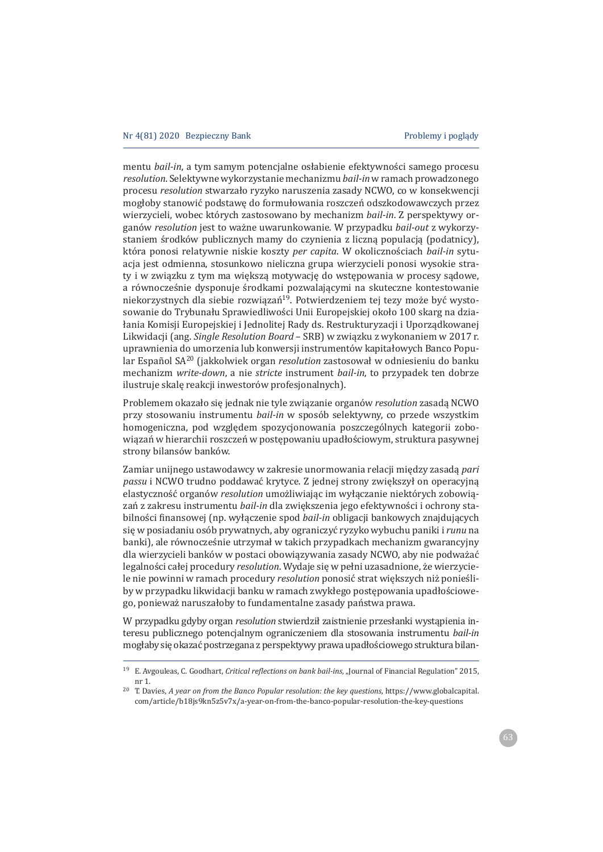*mentu bail-in*, a tym samym potencjalne osłabienie efektywności samego procesu *resolution*. Selektywne wykorzystanie mechanizmu bail-in w ramach prowadzonego procesu resolution stwarzało ryzyko naruszenia zasady NCWO, co w konsekwencji mogłoby stanowić podstawę do formułowania roszczeń odszkodowawczych przez wierzycieli, wobec których zastosowano by mechanizm bail-in. Z perspektywy organów *resolution* jest to ważne uwarunkowanie. W przypadku bail-out z wykorzystaniem środków publicznych mamy do czynienia z liczna populacja (podatnicy). która ponosi relatywnie niskie koszty per capita. W okolicznościach bail-in sytuacja jest odmienna, stosunkowo nieliczna grupa wierzycieli ponosi wysokie straty i w związku z tym ma większą motywację do wstępowania w procesy sądowe, a równocześnie dysponuje środkami pozwalającymi na skuteczne kontestowanie niekorzystnych dla siebie rozwiązań<sup>19</sup>. Potwierdzeniem tej tezy może być wystosowanie do Trybunału Sprawiedliwości Unii Europejskiej około 100 skarg na działania Komisji Europejskiej i Jednolitej Rady ds. Restrukturyzacji i Uporządkowanej Likwidacji (ang. Single Resolution Board - SRB) w związku z wykonaniem w 2017 r. uprawnienia do umorzenia lub konwersji instrumentów kapitałowych Banco Popular Español SA<sup>20</sup> (jakkolwiek organ *resolution* zastosował w odniesieniu do banku *mechanizm write-down, a nie stricte* instrument *bail-in*, to przypadek ten dobrze ilustruje skale reakcji inwestorów profesjonalnych).

Problemem okazało się jednak nie tyle związanie organów resolution zasadą NCWO przy stosowaniu instrumentu bail-in w sposób selektywny, co przede wszystkim homogeniczna, pod względem spozycjonowania poszczególnych kategorii zobowiązań w hierarchii roszczeń w postępowaniu upadłościowym, struktura pasywnej strony bilansów banków.

Zamiar unijnego ustawodawcy w zakresie unormowania relacji między zasadą pari passu i NCWO trudno poddawać krytyce. Z jednej strony zwiększył on operacyjną elastyczność organów *resolution* umożliwiając im wyłączanie niektórych zobowiązań z zakresu instrumentu bail-in dla zwiększenia jego efektywności i ochrony stabilności finansowej (np. wyłączenie spod bail-in obligacji bankowych znajdujących się w posiadaniu osób prywatnych, aby ograniczyć ryzyko wybuchu paniki i *runu* na banki), ale równocześnie utrzymał w takich przypadkach mechanizm gwarancyjny dla wierzycieli banków w postaci obowiązywania zasady NCWO, aby nie podważać legalności całej procedury *resolution*. Wydaje się w pełni uzasadnione, że wierzyciele nie powinni w ramach procedury *resolution* ponosić strat większych niż ponieśliby w przypadku likwidacji banku w ramach zwykłego postępowania upadłościowego, ponieważ naruszałoby to fundamentalne zasady państwa prawa.

W przypadku gdyby organ *resolution* stwierdził zaistnienie przesłanki wystąpienia interesu publicznego potencjalnym ograniczeniem dla stosowania instrumentu *bail-in* mogłaby się okazać postrzegana z perspektywy prawa upadłościowego struktura bilan-

<sup>&</sup>lt;sup>19</sup> E. Avgouleas, C. Goodhart, Critical reflections on bank bail-ins, "Journal of Financial Regulation" 2015, nr 1.

<sup>&</sup>lt;sup>20</sup> T. Davies, *A year on from the Banco Popular resolution: the key questions*, https://www.globalcapital. com/article/b18js9kn5z5v7x/a-year-on-from-the-banco-popular-resolution-the-key-questions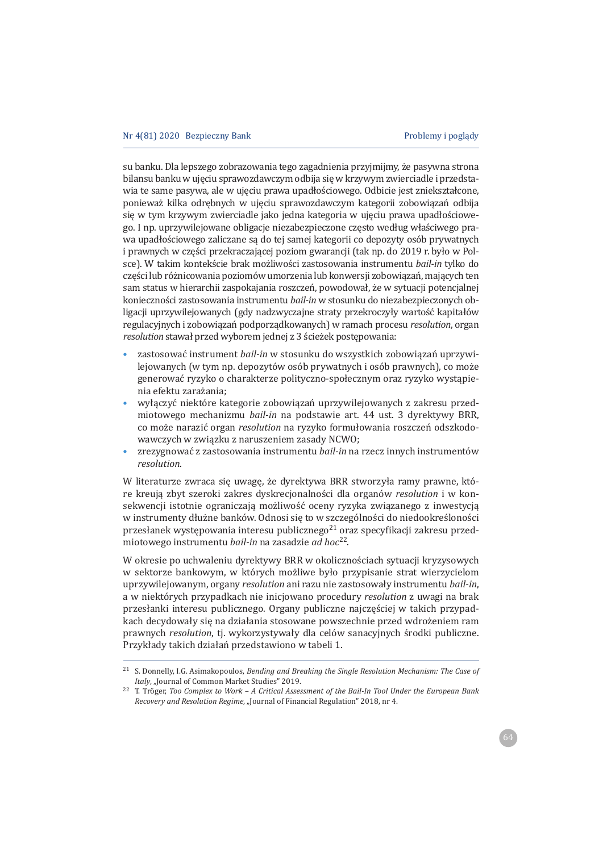su banku. Dla lepszego zobrazowania tego zagadnienia przyjmijmy, że pasywna strona bilansu banku w ujeciu sprawozdawczym odbija sie w krzywym zwierciadle i przedstawia te same pasywa, ale w ujęciu prawa upadłościowego. Odbicie jest zniekształcone, ponieważ kilka odrębnych w ujęciu sprawozdawczym kategorii zobowiązań odbija się w tym krzywym zwierciadle jako jedna kategoria w ujęciu prawa upadłościowego. I np. uprzywilejowane obligacje niezabezpieczone często według właściwego prawa upadłościowego zaliczane sa do tej samej kategorii co depozyty osób prywatnych i prawnych w części przekraczającej poziom gwarancji (tak np. do 2019 r. było w Polsce). W takim kontekście brak możliwości zastosowania instrumentu bail-in tylko do części lub różnicowania poziomów umorzenia lub konwersji zobowiązań, mających ten sam status w hierarchii zaspokajania roszczeń, powodował, że w sytuacji potencjalnej konieczności zastosowania instrumentu bail-in w stosunku do niezabezpieczonych obligacji uprzywilejowanych (gdy nadzwyczajne straty przekroczyły wartość kapitałów regulacyjnych i zobowiązań podporządkowanych) w ramach procesu *resolution*, organ *resolution* stawał przed wyborem jednej z 3 ścieżek postępowania:

- zastosować instrument bail-in w stosunku do wszystkich zobowiązań uprzywilejowanych (w tym np. depozytów osób prywatnych i osób prawnych), co może generować ryzyko o charakterze polityczno-społecznym oraz ryzyko wystąpienia efektu zarażania;
- wyłączyć niektóre kategorie zobowiązań uprzywilejowanych z zakresu przed*miotowego mechanizmu bail-in* na podstawie art. 44 ust. 3 dyrektywy BRR, co może narazić organ *resolution* na ryzyko formułowania roszczeń odszkodowawczych w związku z naruszeniem zasady NCWO;
- zrezygnować z zastosowania instrumentu bail-in na rzecz innych instrumentów *resolution.*

W literaturze zwraca się uwagę, że dyrektywa BRR stworzyła ramy prawne, które kreuja zbyt szeroki zakres dyskrecjonalności dla organów *resolution* i w konsekwencji istotnie ograniczają możliwość oceny ryzyka związanego z inwestycją w instrumenty dłużne banków. Odnosi się to w szczególności do niedookreśloności przesłanek występowania interesu publicznego<sup>21</sup> oraz specyfikacji zakresu przed*bail-in* na zasadzie *ad hoc*<sup>22</sup>.

W okresie po uchwaleniu dyrektywy BRR w okolicznościach sytuacji kryzysowych w sektorze bankowym, w których możliwe było przypisanie strat wierzycielom uprzywilejowanym, organy *resolution* ani razu nie zastosowały instrumentu bail-in, a w niektórych przypadkach nie inicjowano procedury *resolution* z uwagi na brak przesłanki interesu publicznego. Organy publiczne najczęściej w takich przypadkach decydowały się na działania stosowane powszechnie przed wdrożeniem ram *prawnych resolution*, ti. *wykorzystywały dla celów sanacyjnych środki publiczne*. Przykłady takich działań przedstawiono w tabeli 1.

<sup>&</sup>lt;sup>21</sup> S. Donnelly, I.G. Asimakopoulos, Bending and Breaking the Single Resolution Mechanism: The Case of *Italy*, "Journal of Common Market Studies" 2019.

<sup>&</sup>lt;sup>22</sup> T. Tröger, Too Complex to Work – A Critical Assessment of the Bail-In Tool Under the European Bank *Recovery and Resolution Regime, "Journal of Financial Regulation" 2018, nr 4.*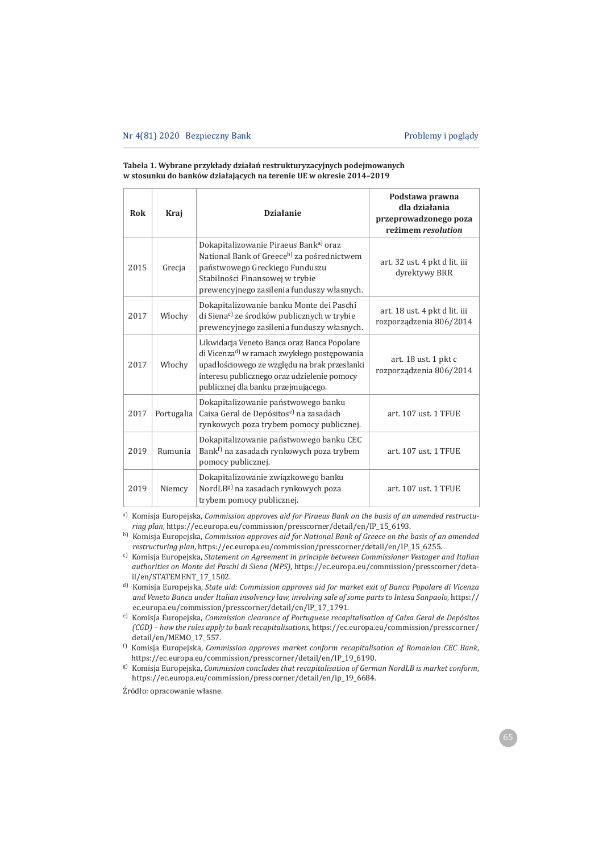#### **Tabela 1. Wybrane przykÏady dziaÏaÑ restrukturyzacyjnych podejmowanych w stosunku do banków dziaÏaj¦cych na terenie UE w okresie 2014–2019**

| <b>Rok</b> | Kraj       | <b>Działanie</b>                                                                                                                                                                                                                             | Podstawa prawna<br>dla działania<br>przeprowadzonego poza<br>reżimem resolution |
|------------|------------|----------------------------------------------------------------------------------------------------------------------------------------------------------------------------------------------------------------------------------------------|---------------------------------------------------------------------------------|
| 2015       | Grecia     | Dokapitalizowanie Piraeus Bank <sup>a)</sup> oraz<br>National Bank of Greece <sup>b)</sup> za pośrednictwem<br>państwowego Greckiego Funduszu<br>Stabilności Finansowej w trybie<br>prewencyjnego zasilenia funduszy własnych.               | art. 32 ust. 4 pkt d lit. iii<br>dyrektywy BRR                                  |
| 2017       | Włochy     | Dokapitalizowanie banku Monte dei Paschi<br>di Siena <sup>c)</sup> ze środków publicznych w trybie<br>prewencyjnego zasilenia funduszy własnych.                                                                                             | art. 18 ust. 4 pkt d lit. iii<br>rozporządzenia 806/2014                        |
| 2017       | Włochy     | Likwidacja Veneto Banca oraz Banca Popolare<br>di Vicenza <sup>d)</sup> w ramach zwykłego postępowania<br>upadłościowego ze względu na brak przesłanki<br>interesu publicznego oraz udzielenie pomocy<br>publicznej dla banku przejmującego. | art. 18 ust. 1 pkt c<br>rozporządzenia 806/2014                                 |
| 2017       | Portugalia | Dokapitalizowanie państwowego banku<br>Caixa Geral de Depósitos <sup>e)</sup> na zasadach<br>rynkowych poza trybem pomocy publicznej.                                                                                                        | art. 107 ust. 1 TFUE                                                            |
| 2019       | Rumunia    | Dokapitalizowanie państwowego banku CEC<br>Bank <sup>f)</sup> na zasadach rynkowych poza trybem<br>pomocy publicznej.                                                                                                                        | art. 107 ust. 1 TFUE                                                            |
| 2019       | Niemcy     | Dokapitalizowanie związkowego banku<br>NordLB <sup>g)</sup> na zasadach rynkowych poza<br>trybem pomocy publicznej.                                                                                                                          | art. 107 ust. 1 TFUE                                                            |

a) Komisja Europejska, Commission approves aid for Piraeus Bank on the basis of an amended restructu*ring plan*, https://ec.europa.eu/commission/presscorner/detail/en/IP\_15\_6193.

- <sup>d)</sup> Komisja Europejska, State aid: Commission approves aid for market exit of Banca Popolare di Vicenza and Veneto Banca under Italian insolvency law, involving sale of some parts to Intesa Sanpaolo, https:// ec.europa.eu/commission/presscorner/detail/en/IP\_17\_1791.
- e) Komisja Europejska, Commission clearance of Portuguese recapitalisation of Caixa Geral de Depósitos *(CGD) – how the rules apply to bank recapitalisations*, https://ec.europa.eu/commission/presscorner/ detail/en/MEMO\_17\_557.
- <sup>f)</sup> Komisja Europejska, Commission approves market conform recapitalisation of Romanian CEC Bank, https://ec.europa.eu/commission/presscorner/detail/en/IP\_19\_6190.
- <sup>g)</sup> Komisja Europejska, Commission concludes that recapitalisation of German NordLB is market conform, https://ec.europa.eu/commission/presscorner/detail/en/ip\_19\_6684.

Źródło: opracowanie własne.

**b**) Komisja Europejska, Commission approves aid for National Bank of Greece on the basis of an amended restructuring plan, https://ec.europa.eu/commission/presscorner/detail/en/IP\_15\_6255.

ȌԘǡ*Statement on Agreement in principle between Commissioner Vestager and Italian*  authorities on Monte dei Paschi di Siena (MPS), https://ec.europa.eu/commission/presscorner/detail/en/STATEMENT 17 1502.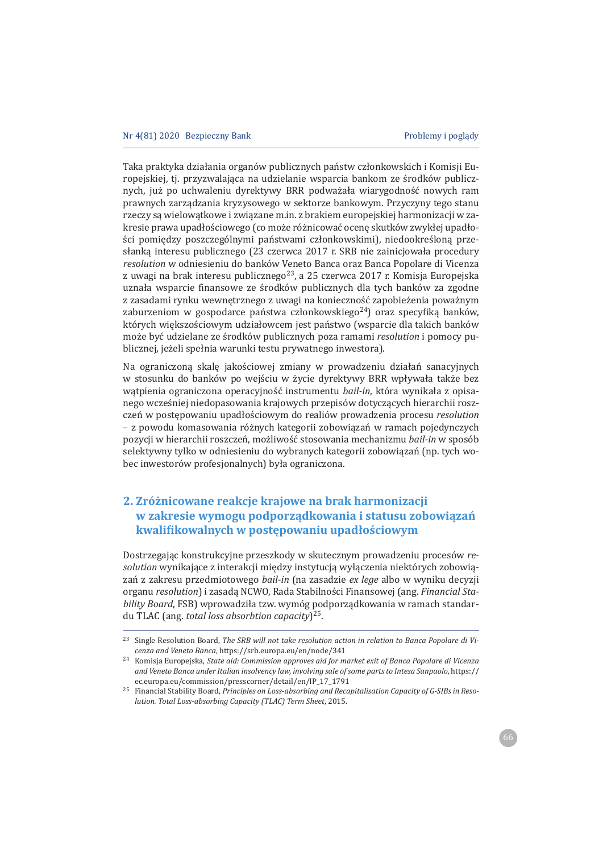Taka praktyka działania organów publicznych państw członkowskich i Komisji Europejskiej, tj. przyzwalająca na udzielanie wsparcia bankom ze środków publicznych, już po uchwaleniu dyrektywy BRR podważała wiarygodność nowych ram prawnych zarządzania kryzysowego w sektorze bankowym. Przyczyny tego stanu rzeczy są wielowątkowe i związane m.in. z brakiem europejskiej harmonizacji w zakresie prawa upadłościowego (co może różnicować ocenę skutków zwykłej upadłości pomiedzy poszczególnymi państwami członkowskimi), niedookreślona przesłanką interesu publicznego (23 czerwca 2017 r. SRB nie zainicjowała procedury resolution w odniesieniu do banków Veneto Banca oraz Banca Popolare di Vicenza z uwagi na brak interesu publicznego<sup>23</sup>, a 25 czerwca 2017 r. Komisja Europejska uznała wsparcie finansowe ze środków publicznych dla tych banków za zgodne z zasadami rynku wewnętrznego z uwagi na konieczność zapobieżenia poważnym zaburzeniom w gospodarce państwa członkowskiego<sup>24</sup>) oraz specyfiką banków, których większościowym udziałowcem jest państwo (wsparcie dla takich banków może być udzielane ze środków publicznych poza ramami *resolution* i pomocy publicznej, jeżeli spełnia warunki testu prywatnego inwestora).

Na ograniczoną skalę jakościowej zmiany w prowadzeniu działań sanacyjnych w stosunku do banków po wejściu w życie dyrektywy BRR wpływała także bez wątpienia ograniczona operacyjność instrumentu bail-in, która wynikała z opisanego wcześniej niedopasowania krajowych przepisów dotyczących hierarchii roszczeń w postępowaniu upadłościowym do realiów prowadzenia procesu resolution - z powodu komasowania różnych kategorii zobowiązań w ramach pojedynczych pozycji w hierarchii roszczeń, możliwość stosowania mechanizmu bail-in w sposób selektywny tylko w odniesieniu do wybranych kategorii zobowiązań (np. tych wobec inwestorów profesjonalnych) była ograniczona.

# **2. ZróĂnicowane reakcje krajowe na brak harmonizacji w zakresie wymogu podporz¦dkowania i statusu zobowi¦zaÑ kwalifikowalnych w postepowaniu upadłościowym**

Dostrzegając konstrukcyjne przeszkody w skutecznym prowadzeniu procesów re*solution* wynikające z interakcji między instytucją wyłączenia niektórych zobowiązań z zakresu przedmiotowego bail-in (na zasadzie ex lege albo w wyniku decyzji organu resolution) i zasadą NCWO, Rada Stabilności Finansowej (ang. Financial Sta*bility Board*, FSB) wprowadziła tzw. wymóg podporządkowania w ramach standardu TLAC (ang. *total loss absorbtion capacity*)<sup>25</sup>.

<sup>&</sup>lt;sup>23</sup> Single Resolution Board, The SRB will not take resolution action in relation to Banca Popolare di Vi*cenza and Veneto Banca*, https://srb.europa.eu/en/node/341

<sup>&</sup>lt;sup>24</sup> Komisja Europejska, *State aid: Commission approves aid for market exit of Banca Popolare di Vicenza* and Veneto Banca under Italian insolvency law, involving sale of some parts to Intesa Sanpaolo, https:// ec.europa.eu/commission/presscorner/detail/en/IP\_17\_1791

<sup>&</sup>lt;sup>25</sup> Financial Stability Board, *Principles on Loss-absorbing and Recapitalisation Capacity of G-SIBs in Resolution. Total Loss-absorbing Capacity (TLAC) Term Sheet, 2015.*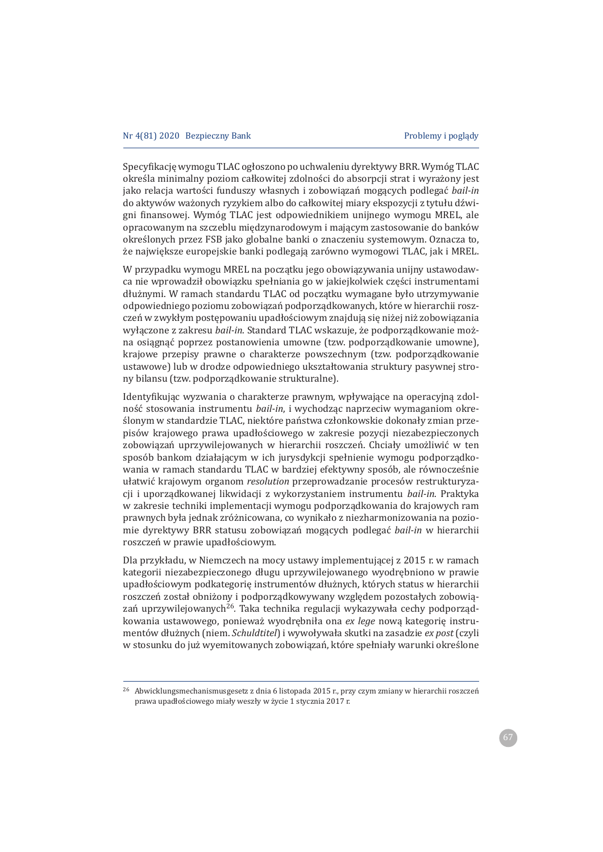Specyfikację wymogu TLAC ogłoszono po uchwaleniu dyrektywy BRR. Wymóg TLAC określa minimalny poziom całkowitej zdolności do absorpcji strat i wyrażony jest jako relacja wartości funduszy własnych i zobowiązań mogących podlegać bail-in do aktywów ważonych ryzykiem albo do całkowitej miary ekspozycji z tytułu dźwigni finansowej. Wymóg TLAC jest odpowiednikiem unijnego wymogu MREL, ale opracowanym na szczeblu międzynarodowym i mającym zastosowanie do banków określonych przez FSB jako globalne banki o znaczeniu systemowym. Oznacza to, że największe europejskie banki podlegają zarówno wymogowi TLAC, jak i MREL.

W przypadku wymogu MREL na początku jego obowiązywania unijny ustawodawca nie wprowadził obowiązku spełniania go w jakiejkolwiek części instrumentami dłużnymi. W ramach standardu TLAC od początku wymagane było utrzymywanie odpowiedniego poziomu zobowiązań podporządkowanych, które w hierarchii roszczeń w zwykłym postępowaniu upadłościowym znajdują się niżej niż zobowiązania wyłączone z zakresu bail-in. Standard TLAC wskazuje, że podporządkowanie można osiągnąć poprzez postanowienia umowne (tzw. podporządkowanie umowne), krajowe przepisy prawne o charakterze powszechnym (tzw. podporządkowanie ustawowe) lub w drodze odpowiedniego ukształtowania struktury pasywnej strony bilansu (tzw. podporządkowanie strukturalne).

Identyfikując wyzwania o charakterze prawnym, wpływające na operacyjną zdolność stosowania instrumentu *bail-in*, i wychodząc naprzeciw wymaganiom określonym w standardzie TLAC, niektóre państwa członkowskie dokonały zmian przepisów krajowego prawa upadłościowego w zakresie pozycji niezabezpieczonych zobowiązań uprzywilejowanych w hierarchii roszczeń. Chciały umożliwić w ten sposób bankom działającym w ich jurysdykcji spełnienie wymogu podporządkowania w ramach standardu TLAC w bardziej efektywny sposób, ale równocześnie ułatwić krajowym organom resolution przeprowadzanie procesów restrukturyzacji i uporzadkowanej likwidacji z wykorzystaniem instrumentu bail-in. Praktyka w zakresie techniki implementacji wymogu podporządkowania do krajowych ram prawnych była jednak zróżnicowana, co wynikało z niezharmonizowania na poziomie dyrektywy BRR statusu zobowiązań mogących podlegać *bail-in* w hierarchii roszczeń w prawie upadłościowym.

Dla przykładu, w Niemczech na mocy ustawy implementującej z 2015 r. w ramach kategorii niezabezpieczonego długu uprzywilejowanego wyodrebniono w prawie upadłościowym podkategorię instrumentów dłużnych, których status w hierarchii roszczeń został obniżony i podporzadkowywany wzgledem pozostałych zobowiazań uprzywilejowanych<sup>26</sup>. Taka technika regulacji wykazywała cechy podporządkowania ustawowego, ponieważ wyodrębniła ona ex lege nową kategorię instrumentów dłużnych (niem. *Schuldtitel*) i wywoływała skutki na zasadzie *ex post* (czyli w stosunku do już wyemitowanych zobowiązań, które spełniały warunki określone

<sup>&</sup>lt;sup>26</sup> Abwicklungsmechanismusgesetz z dnia 6 listopada 2015 r., przy czym zmiany w hierarchii roszczeń prawa upadłościowego miały weszły w życie 1 stycznia 2017 r.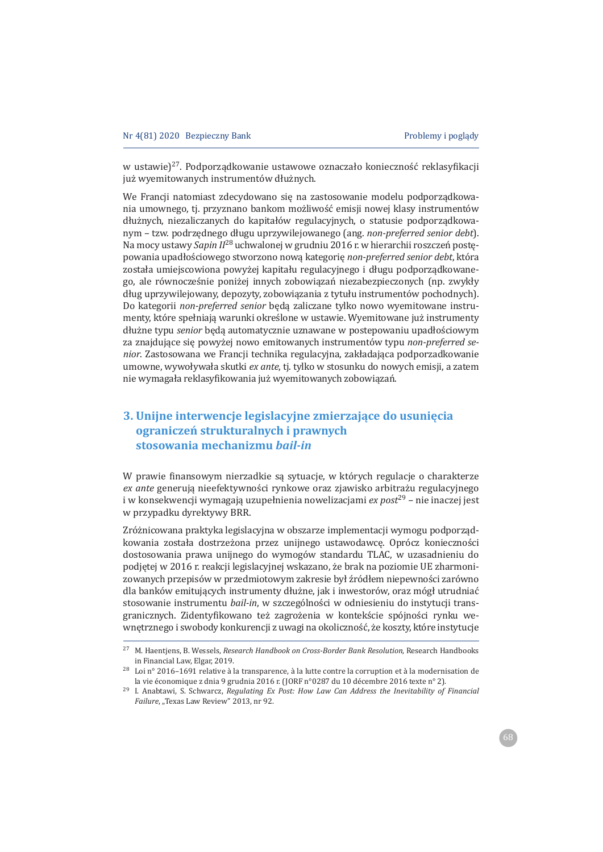w ustawie)<sup>27</sup>. Podporządkowanie ustawowe oznaczało konieczność reklasyfikacji już wyemitowanych instrumentów dłużnych.

We Francji natomiast zdecydowano się na zastosowanie modelu podporządkowania umownego, tj. przyznano bankom możliwość emisji nowej klasy instrumentów dłużnych, niezaliczanych do kapitałów regulacyjnych, o statusie podporządkowanym - tzw. podrzędnego długu uprzywilejowanego (ang. non-preferred senior debt). Na mocy ustawy Sapin II<sup>28</sup> uchwalonej w grudniu 2016 r. w hierarchii roszczeń postępowania upadłościowego stworzono nową kategorię non-preferred senior debt, która została umiejscowiona powyżej kapitału regulacyjnego i długu podporządkowanego, ale równocześnie poniżej innych zobowiązań niezabezpieczonych (np. zwykły dług uprzywilejowany, depozyty, zobowiązania z tytułu instrumentów pochodnych). Do kategorii non-preferred senior beda zaliczane tylko nowo wyemitowane instrumenty, które spełniają warunki określone w ustawie. Wyemitowane już instrumenty dłużne typu senior będą automatycznie uznawane w postepowaniu upadłościowym za znajdujące się powyżej nowo emitowanych instrumentów typu non-preferred senior. Zastosowana we Francji technika regulacyjna, zakładająca podporzadkowanie umowne, wywoływała skutki ex ante, tj. tylko w stosunku do nowych emisji, a zatem nie wymagała reklasyfikowania już wyemitowanych zobowiązań.

# 3. Unijne interwencje legislacyjne zmierzające do usunięcia ograniczeń strukturalnych i prawnych stosowania mechanizmu *bail-in*

W prawie finansowym nierzadkie są sytuacje, w których regulacje o charakterze ex ante generują nieefektywności rynkowe oraz zjawisko arbitrażu regulacyjnego i w konsekwencji wymagają uzupełnienia nowelizacjami ex  $post^{29}$  – nie inaczej jest w przypadku dyrektywy BRR.

Zróżnicowana praktyka legislacyjna w obszarze implementacji wymogu podporządkowania została dostrzeżona przez unijnego ustawodawcę. Oprócz konieczności dostosowania prawa unijnego do wymogów standardu TLAC, w uzasadnieniu do podjętej w 2016 r. reakcji legislacyjnej wskazano, że brak na poziomie UE zharmonizowanych przepisów w przedmiotowym zakresie był źródłem niepewności zarówno dla banków emitujących instrumenty dłużne, jak i inwestorów, oraz mógł utrudniać stosowanie instrumentu bail-in, w szczególności w odniesieniu do instytucji transgranicznych. Zidentyfikowano też zagrożenia w kontekście spójności rynku wewnętrznego i swobody konkurencji z uwagi na okoliczność, że koszty, które instytucje

<sup>&</sup>lt;sup>27</sup> M. Haentiens, B. Wessels, *Research Handbook on Cross-Border Bank Resolution*, Research Handbooks in Financial Law, Elgar, 2019.

<sup>28</sup> Loi nº 2016-1691 relative à la transparence, à la lutte contre la corruption et à la modernisation de la vie économique z dnia 9 grudnia 2016 r. (JORF n°0287 du 10 décembre 2016 texte n° 2).

<sup>&</sup>lt;sup>29</sup> I. Anabtawi, S. Schwarcz, Regulating Ex Post: How Law Can Address the Inevitability of Financial Failure, "Texas Law Review" 2013, nr 92.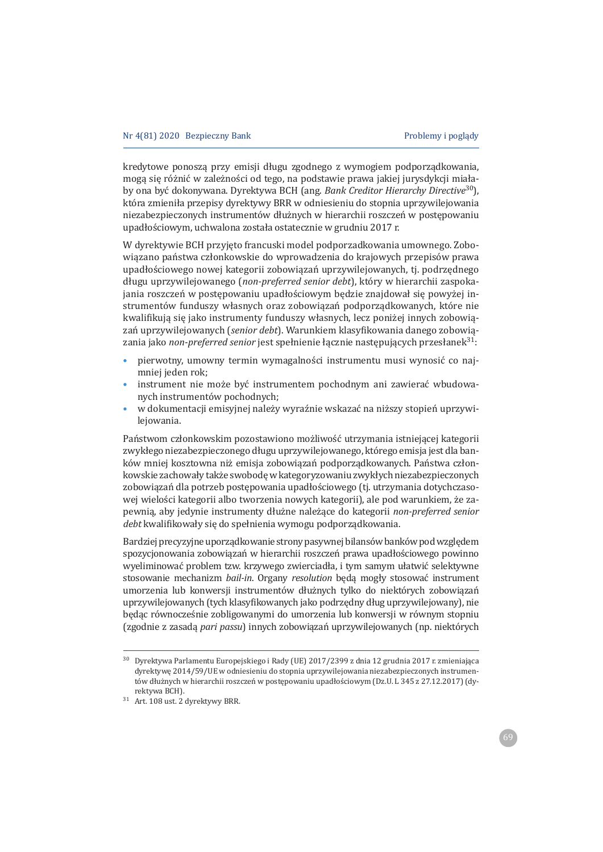kredytowe ponoszą przy emisji długu zgodnego z wymogiem podporządkowania, moga się różnić w zależności od tego, na podstawie prawa jakiej jurysdykcji miałaby ona być dokonywana. Dyrektywa BCH (ang. *Bank Creditor Hierarchy Directive*<sup>30</sup>), która zmieniła przepisy dyrektywy BRR w odniesieniu do stopnia uprzywilejowania niezabezpieczonych instrumentów dłużnych w hierarchii roszczeń w postępowaniu upadłościowym, uchwalona została ostatecznie w grudniu 2017 r.

W dyrektywie BCH przyjęto francuski model podporzadkowania umownego. Zobowiązano państwa członkowskie do wprowadzenia do krajowych przepisów prawa upadłościowego nowej kategorii zobowiązań uprzywilejowanych, tj. podrzędnego długu uprzywilejowanego (non-preferred senior debt), który w hierarchii zaspokajania roszczeń w postępowaniu upadłościowym będzie znajdował się powyżej instrumentów funduszy własnych oraz zobowiązań podporządkowanych, które nie kwalifikują się jako instrumenty funduszy własnych, lecz poniżej innych zobowiązań uprzywilejowanych (senior debt). Warunkiem klasyfikowania danego zobowiązania jako non-preferred senior jest spełnienie łącznie następujących przesłanek<sup>31</sup>:

- pierwotny, umowny termin wymagalności instrumentu musi wynosić co najmniei jeden rok:
- instrument nie może być instrumentem pochodnym ani zawierać wbudowanych instrumentów pochodnych;
- w dokumentacji emisyjnej należy wyraźnie wskazać na niższy stopień uprzywileiowania.

Państwom członkowskim pozostawiono możliwość utrzymania istniejącej kategorii zwykłego niezabezpieczonego długu uprzywilejowanego, którego emisja jest dla banków mniej kosztowna niż emisja zobowiazań podporzadkowanych. Państwa członkowskie zachowały także swobodę w kategoryzowaniu zwykłych niezabezpieczonych zobowiązań dla potrzeb postępowania upadłościowego (tj. utrzymania dotychczasowej wielości kategorii albo tworzenia nowych kategorii), ale pod warunkiem, że zapewnią, aby jedynie instrumenty dłużne należące do kategorii non-preferred senior debt kwalifikowały się do spełnienia wymogu podporządkowania.

Bardziei precyzyjne uporządkowanie strony pasywnej bilansów banków pod względem spozycionowania zobowiazań w hierarchii roszczeń prawa upadłościowego powinno wyeliminować problem tzw. krzywego zwierciadła, i tym samym ułatwić selektywne stosowanie mechanizm *bail-in*. Organy *resolution* beda mogły stosować instrument umorzenia lub konwersji instrumentów dłużnych tylko do niektórych zobowiązań uprzywilejowanych (tych klasyfikowanych jako podrzedny dług uprzywilejowany), nie będąc równocześnie zobligowanymi do umorzenia lub konwersji w równym stopniu (zgodnie z zasada *pari passu*) innych zobowiazań uprzywilejowanych (np. niektórych

<sup>&</sup>lt;sup>30</sup> Dyrektywa Parlamentu Europejskiego i Rady (UE) 2017/2399 z dnia 12 grudnia 2017 r. zmieniająca dyrektywe 2014/59/UE w odniesieniu do stopnia uprzywilejowania niezabezpieczonych instrumentów dłużnych w hierarchii roszczeń w postępowaniu upadłościowym (Dz.U. L 345 z 27.12.2017) (dyrektvwa BCH).

<sup>&</sup>lt;sup>31</sup> Art. 108 ust. 2 dyrektywy BRR.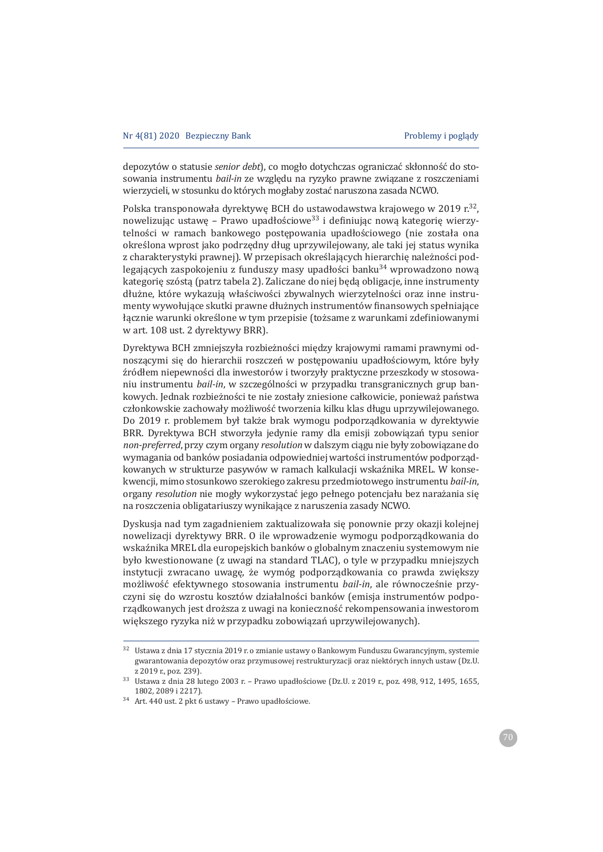depozytów o statusie senior debt), co mogło dotychczas ograniczać skłonność do stosowania instrumentu bail-in ze wzgledu na ryzyko prawne związane z roszczeniami wierzycieli, w stosunku do których mogłaby zostać naruszona zasada NCWO.

Polska transponowała dyrektywę BCH do ustawodawstwa krajowego w 2019 r.<sup>32</sup>, nowelizując ustawę – Prawo upadłościowe<sup>33</sup> i definiując nową kategorię wierzytelności w ramach bankowego postępowania upadłościowego (nie została ona określona wprost jako podrzędny dług uprzywilejowany, ale taki jej status wynika z charakterystyki prawnej). W przepisach określających hierarchię należności podlegających zaspokojeniu z funduszy masy upadłości banku<sup>34</sup> wprowadzono nową kategorię szóstą (patrz tabela 2). Zaliczane do niej będą obligacje, inne instrumenty dłużne, które wykazują właściwości zbywalnych wierzytelności oraz inne instrumenty wywołujące skutki prawne dłużnych instrumentów finansowych spełniające łącznie warunki określone w tym przepisie (tożsame z warunkami zdefiniowanymi w art. 108 ust. 2 dyrektywy BRR).

Dyrektywa BCH zmniejszyła rozbieżności między krajowymi ramami prawnymi odnoszącymi się do hierarchii roszczeń w postępowaniu upadłościowym, które były źródłem niepewności dla inwestorów i tworzyły praktyczne przeszkody w stosowaniu instrumentu bail-in, w szczególności w przypadku transgranicznych grup bankowych. Jednak rozbieżności te nie zostały zniesione całkowicie, ponieważ państwa członkowskie zachowały możliwość tworzenia kilku klas długu uprzywilejowanego. Do 2019 r. problemem był także brak wymogu podporządkowania w dyrektywie BRR. Dyrektywa BCH stworzyła jedynie ramy dla emisji zobowiązań typu senior non-preferred, przy czym organy resolution w dalszym ciągu nie były zobowiązane do wymagania od banków posiadania odpowiedniej wartości instrumentów podporządkowanych w strukturze pasywów w ramach kalkulacji wskaźnika MREL. W konsekwencji, mimo stosunkowo szerokiego zakresu przedmiotowego instrumentu bail-in, organy resolution nie mogły wykorzystać jego pełnego potencjału bez narażania sie na roszczenia obligatariuszy wynikające z naruszenia zasady NCWO.

Dyskusja nad tym zagadnieniem zaktualizowała się ponownie przy okazji kolejnej nowelizacji dyrektywy BRR. O ile wprowadzenie wymogu podporządkowania do wskaźnika MREL dla europejskich banków o globalnym znaczeniu systemowym nie było kwestionowane (z uwagi na standard TLAC), o tyle w przypadku mniejszych instytucji zwracano uwagę, że wymóg podporządkowania co prawda zwiększy możliwość efektywnego stosowania instrumentu bail-in, ale równocześnie przyczyni się do wzrostu kosztów działalności banków (emisja instrumentów podporządkowanych jest droższa z uwagi na konieczność rekompensowania inwestorom większego ryzyka niż w przypadku zobowiązań uprzywilejowanych).

<sup>&</sup>lt;sup>32</sup> Ustawa z dnia 17 stvcznia 2019 r. o zmianie ustawy o Bankowym Funduszu Gwarancyjnym, systemie gwarantowania depozytów oraz przymusowej restrukturyzacji oraz niektórych innych ustaw (Dz.U. z 2019 r., poz. 239).

<sup>33</sup> Ustawa z dnia 28 lutego 2003 r. - Prawo upadłościowe (Dz.U. z 2019 r., poz. 498, 912, 1495, 1655, 1802.2089 i 2217).

<sup>&</sup>lt;sup>34</sup> Art. 440 ust. 2 pkt 6 ustawy - Prawo upadłościowe.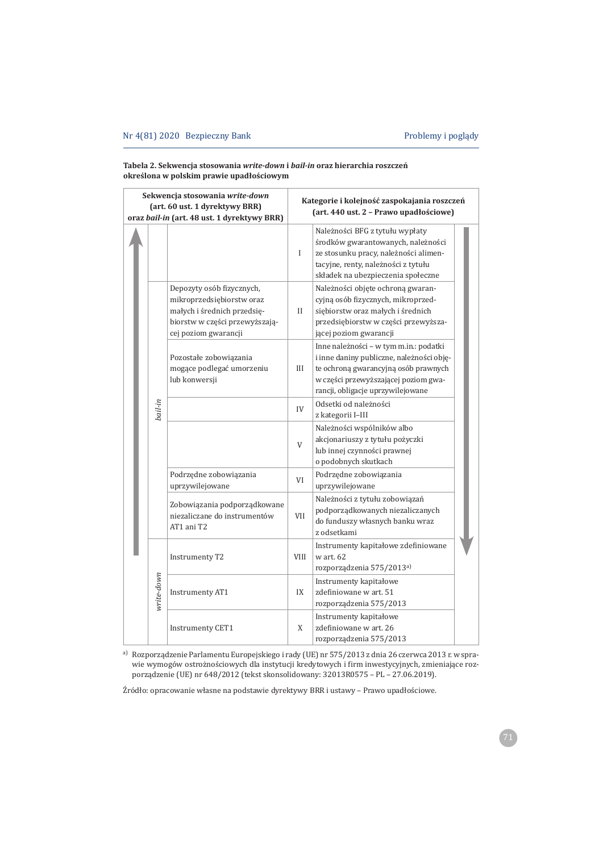#### Tabela 2. Sekwencja stosowania write-down i bail-in oraz hierarchia roszczeń określona w polskim prawie upadłościowym

| Sekwencja stosowania write-down<br>(art. 60 ust. 1 dyrektywy BRR)<br>oraz bail-in (art. 48 ust. 1 dyrektywy BRR) |            |                                                                                                                                                 | Kategorie i kolejność zaspokajania roszczeń<br>(art. 440 ust. 2 - Prawo upadłościowe) |                                                                                                                                                                                                          |  |  |
|------------------------------------------------------------------------------------------------------------------|------------|-------------------------------------------------------------------------------------------------------------------------------------------------|---------------------------------------------------------------------------------------|----------------------------------------------------------------------------------------------------------------------------------------------------------------------------------------------------------|--|--|
|                                                                                                                  |            |                                                                                                                                                 | $\mathbf I$                                                                           | Należności BFG z tytułu wypłaty<br>środków gwarantowanych, należności<br>ze stosunku pracy, należności alimen-<br>tacyjne, renty, należności z tytułu<br>składek na ubezpieczenia społeczne              |  |  |
|                                                                                                                  |            | Depozyty osób fizycznych,<br>mikroprzedsiębiorstw oraz<br>małych i średnich przedsie-<br>biorstw w części przewyższają-<br>cej poziom gwarancji | $\mathbf{I}$                                                                          | Należności objęte ochroną gwaran-<br>cyjną osób fizycznych, mikroprzed-<br>siębiorstw oraz małych i średnich<br>przedsiębiorstw w części przewyższa-<br>jącej poziom gwarancji                           |  |  |
|                                                                                                                  |            | Pozostałe zobowiązania<br>mogące podlegać umorzeniu<br>lub konwersji                                                                            | Ш                                                                                     | Inne należności - w tym m.in.: podatki<br>i inne daniny publiczne, należności obję-<br>te ochroną gwarancyjną osób prawnych<br>w części przewyższającej poziom gwa-<br>rancji, obligacje uprzywilejowane |  |  |
|                                                                                                                  | bail-in    |                                                                                                                                                 | IV                                                                                    | Odsetki od należności<br>z kategorii I-III                                                                                                                                                               |  |  |
|                                                                                                                  |            |                                                                                                                                                 | $\mathbf{V}$                                                                          | Należności wspólników albo<br>akcjonariuszy z tytułu pożyczki<br>lub innej czynności prawnej<br>o podobnych skutkach                                                                                     |  |  |
|                                                                                                                  |            | Podrzędne zobowiązania<br>uprzywilejowane                                                                                                       | VI                                                                                    | Podrzędne zobowiązania<br>uprzywilejowane                                                                                                                                                                |  |  |
|                                                                                                                  |            | Zobowiązania podporządkowane<br>niezaliczane do instrumentów<br>AT1 ani T2                                                                      | <b>VII</b>                                                                            | Należności z tytułu zobowiązań<br>podporządkowanych niezaliczanych<br>do funduszy własnych banku wraz<br>z odsetkami                                                                                     |  |  |
|                                                                                                                  | write-down | Instrumenty T2                                                                                                                                  | <b>VIII</b>                                                                           | Instrumenty kapitałowe zdefiniowane<br>w art. 62<br>rozporządzenia 575/2013a)                                                                                                                            |  |  |
|                                                                                                                  |            | <b>Instrumenty AT1</b>                                                                                                                          | IX                                                                                    | Instrumenty kapitałowe<br>zdefiniowane w art. 51<br>rozporządzenia 575/2013                                                                                                                              |  |  |
|                                                                                                                  |            | Instrumenty CET1                                                                                                                                | X                                                                                     | Instrumenty kapitałowe<br>zdefiniowane w art. 26<br>rozporządzenia 575/2013                                                                                                                              |  |  |

a) Rozporządzenie Parlamentu Europejskiego i rady (UE) nr 575/2013 z dnia 26 czerwca 2013 r. w sprawie wymogów ostrożnościowych dla instytucji kredytowych i firm inwestycyjnych, zmieniające rozporządzenie (UE) nr 648/2012 (tekst skonsolidowany: 32013R0575 – PL – 27.06.2019).

Źródło: opracowanie własne na podstawie dyrektywy BRR i ustawy - Prawo upadłościowe.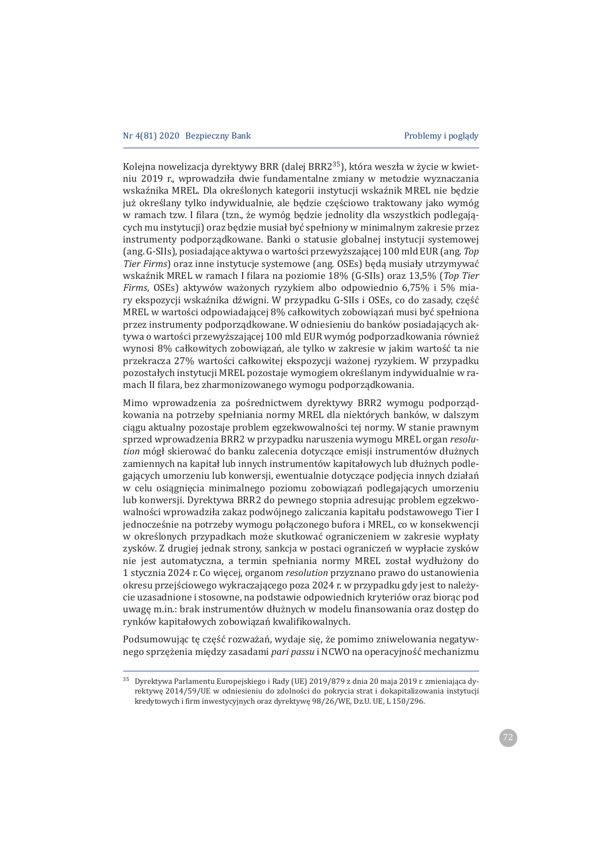Kolejna nowelizacja dyrektywy BRR (dalej BRR2<sup>35</sup>), która weszła w życie w kwietniu 2019 r., wprowadziła dwie fundamentalne zmiany w metodzie wyznaczania wskaźnika MREL. Dla określonych kategorii instytucji wskaźnik MREL nie będzie już określany tylko indywidualnie, ale będzie częściowo traktowany jako wymóg w ramach tzw. I filara (tzn., że wymóg będzie jednolity dla wszystkich podlegających mu instytucji) oraz będzie musiał być spełniony w minimalnym zakresie przez instrumenty podporzadkowane. Banki o statusie globalnej instytucji systemowej (ang. G-SIIs), posiadające aktywa o wartości przewyższającej 100 mld EUR (ang. Top *Tier Firms*) oraz inne instytucje systemowe (ang. OSEs) beda musiały utrzymywać wskaźnik MREL w ramach I filara na poziomie 18% (G-SIIs) oraz 13,5% (Top Tier *Firms*, OSEs) aktywów ważonych ryzykiem albo odpowiednio 6,75% i 5% miary ekspozycji wskaźnika dźwigni. W przypadku G-SIIs i OSEs, co do zasady, część MREL w wartości odpowiadającej 8% całkowitych zobowiązań musi być spełniona przez instrumenty podporządkowane. W odniesieniu do banków posiadających aktywa o wartości przewyższającej 100 mld EUR wymóg podporzadkowania również wynosi 8% całkowitych zobowiązań, ale tylko w zakresie w jakim wartość ta nie przekracza 27% wartości całkowitej ekspozycji ważonej ryzykiem. W przypadku pozostałych instytucji MREL pozostaje wymogiem określanym indywidualnie w ramach II filara, bez zharmonizowanego wymogu podporządkowania.

Mimo wprowadzenia za pośrednictwem dyrektywy BRR2 wymogu podporządkowania na potrzeby spełniania normy MREL dla niektórych banków, w dalszym ciągu aktualny pozostaje problem egzekwowalności tej normy. W stanie prawnym sprzed wprowadzenia BRR2 w przypadku naruszenia wymogu MREL organ *resolution* mógł skierować do banku zalecenia dotyczące emisji instrumentów dłużnych zamiennych na kapitał lub innych instrumentów kapitałowych lub dłużnych podlegających umorzeniu lub konwersji, ewentualnie dotyczące podjęcia innych działań w celu osiągnięcia minimalnego poziomu zobowiązań podlegających umorzeniu lub konwersji. Dyrektywa BRR2 do pewnego stopnia adresując problem egzekwowalności wprowadziła zakaz podwójnego zaliczania kapitału podstawowego Tier I jednocześnie na potrzeby wymogu połączonego bufora i MREL, co w konsekwencji w określonych przypadkach może skutkować ograniczeniem w zakresie wypłaty zysków. Z drugiej jednak strony, sankcja w postaci ograniczeń w wypłacie zysków nie jest automatyczna, a termin spełniania normy MREL został wydłużony do 1 stycznia 2024 r. Co więcej, organom *resolution* przyznano prawo do ustanowienia okresu przejściowego wykraczającego poza 2024 r. w przypadku gdy jest to należycie uzasadnione i stosowne, na podstawie odpowiednich kryteriów oraz biorąc pod uwagę m.in.: brak instrumentów dłużnych w modelu finansowania oraz dostęp do rynków kapitałowych zobowiązań kwalifikowalnych.

Podsumowując te cześć rozważań, wydaje się, że pomimo zniwelowania negatywnego sprzężenia między zasadami *pari passu* i NCWO na operacyjność mechanizmu

<sup>35</sup> Dvrektvwa Parlamentu Europejskiego i Rady (UE) 2019/879 z dnia 20 maja 2019 r. zmieniająca dyrektywę 2014/59/UE w odniesieniu do zdolności do pokrycia strat i dokapitalizowania instytucji kredytowych i firm inwestycyjnych oraz dyrektywę 98/26/WE, Dz.U. UE, L 150/296.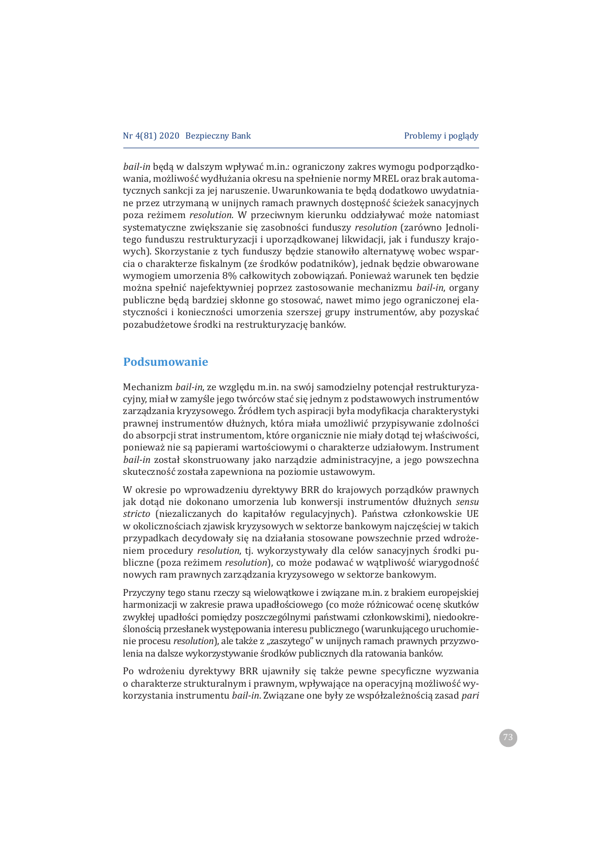*bail-in* beda w dalszym wpływać m.in.: ograniczony zakres wymogu podporzadkowania, możliwość wydłużania okresu na spełnienie normy MREL oraz brak automatycznych sankcji za jej naruszenie. Uwarunkowania te będą dodatkowo uwydatniane przez utrzymaną w unijnych ramach prawnych dostępność ścieżek sanacyjnych poza reżimem *resolution*. W przeciwnym kierunku oddziaływać może natomiast systematyczne zwiekszanie się zasobności funduszy resolution (zarówno Jednolitego funduszu restrukturyzacji i uporzadkowanej likwidacji, jak i funduszy krajowych). Skorzystanie z tych funduszy będzie stanowiło alternatywę wobec wsparcia o charakterze fiskalnym (ze środków podatników), jednak bedzie obwarowane wymogiem umorzenia 8% całkowitych zobowiązań. Ponieważ warunek ten będzie można spełnić najefektywniej poprzez zastosowanie mechanizmu bail-in, organy publiczne będą bardziej skłonne go stosować, nawet mimo jego ograniczonej elastyczności i konieczności umorzenia szerszej grupy instrumentów, aby pozyskać pozabudżetowe środki na restrukturyzację banków.

# **Podsumowanie**

Mechanizm *bail-in*. ze wzgledu m.in. na swói samodzielny potenciał restrukturyzacyjny, miał w zamyśle jego twórców stać się jednym z podstawowych instrumentów zarządzania kryzysowego. Źródłem tych aspiracji była modyfikacja charakterystyki prawnej instrumentów dłużnych, która miała umożliwić przypisywanie zdolności do absorpcji strat instrumentom, które organicznie nie miały dotąd tej właściwości, ponieważ nie są papierami wartościowymi o charakterze udziałowym. Instrument *bail-in* został skonstruowany jako narządzie administracyjne, a jego powszechna skuteczność została zapewniona na poziomie ustawowym.

W okresie po wprowadzeniu dyrektywy BRR do krajowych porządków prawnych jak dotąd nie dokonano umorzenia lub konwersji instrumentów dłużnych sensu stricto (niezaliczanych do kapitałów regulacyjnych). Państwa członkowskie UE w okolicznościach zjawisk kryzysowych w sektorze bankowym najczęściej w takich przypadkach decydowały się na działania stosowane powszechnie przed wdrożeniem procedury *resolution*, ti. wykorzystywały dla celów sanacyjnych środki publiczne (poza reżimem *resolution*), co może podawać w wątpliwość wiarygodność nowych ram prawnych zarządzania kryzysowego w sektorze bankowym.

Przyczyny tego stanu rzeczy są wielowątkowe i związane m.in. z brakiem europejskiej harmonizacji w zakresie prawa upadłościowego (co może różnicować ocenę skutków zwykłej upadłości pomiędzy poszczególnymi państwami członkowskimi), niedookreślonością przesłanek występowania interesu publicznego (warunkującego uruchomienie procesu *resolution*), ale także z "zaszytego" w unijnych ramach prawnych przyzwolenia na dalsze wykorzystywanie środków publicznych dla ratowania banków.

Po wdrożeniu dyrektywy BRR ujawniły się także pewne specyficzne wyzwania o charakterze strukturalnym i prawnym, wpływające na operacyjną możliwość wykorzystania instrumentu bail-in. Związane one były ze współzależnością zasad pari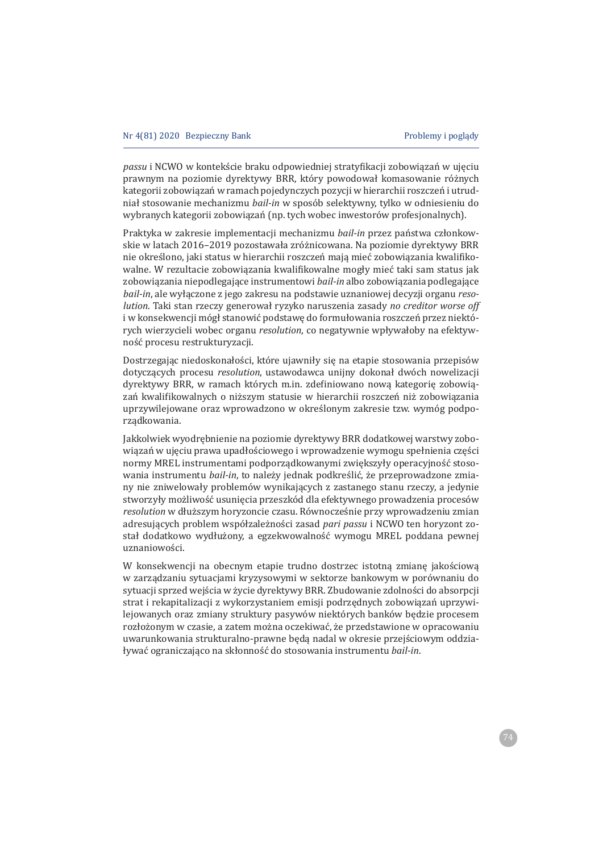passu i NCWO w kontekście braku odpowiedniej stratyfikacji zobowiazań w ujeciu prawnym na poziomie dyrektywy BRR, który powodował komasowanie różnych kategorii zobowiązań w ramach pojedynczych pozycji w hierarchii roszczeń i utrudniał stosowanie mechanizmu bail-in w sposób selektywny, tylko w odniesieniu do wybranych kategorii zobowiązań (np. tych wobec inwestorów profesjonalnych).

Praktyka w zakresie implementacji mechanizmu bail-in przez państwa członkowskie w latach 2016-2019 pozostawała zróżnicowana. Na poziomie dyrektywy BRR nie określono, jaki status w hierarchii roszczeń mają mieć zobowiązania kwalifikowalne. W rezultacie zobowiązania kwalifikowalne mogły mieć taki sam status jak zobowiązania niepodlegające instrumentowi bail-in albo zobowiązania podlegające *bail-in*, ale wyłączone z jego zakresu na podstawie uznaniowej decyzji organu reso*lution*. Taki stan rzeczy generował ryzyko naruszenia zasady no creditor worse off i w konsekwencji mógł stanowić podstawę do formułowania roszczeń przez niektó*rych* wierzycieli wobec organu *resolution*, co negatywnie wpływałoby na efektywność procesu restrukturyzacji.

Dostrzegając niedoskonałości, które ujawniły się na etapie stosowania przepisów dotyczacych procesu *resolution*, ustawodawca unijny dokonał dwóch nowelizacji dyrektywy BRR, w ramach których m.in. zdefiniowano nową kategorię zobowiązań kwalifikowalnych o niższym statusie w hierarchii roszczeń niż zobowiązania uprzywilejowane oraz wprowadzono w określonym zakresie tzw. wymóg podporzadkowania.

Jakkolwiek wyodrębnienie na poziomie dyrektywy BRR dodatkowej warstwy zobowiązań w ujęciu prawa upadłościowego i wprowadzenie wymogu spełnienia części normy MREL instrumentami podporzadkowanymi zwiekszyły operacyjność stosowania instrumentu bail-in, to należy jednak podkreślić, że przeprowadzone zmiany nie zniwelowały problemów wynikających z zastanego stanu rzeczy, a jedynie stworzyły możliwość usuniecia przeszkód dla efektywnego prowadzenia procesów *resolution* w dłuższym horyzoncie czasu. Równocześnie przy wprowadzeniu zmian adresujących problem współzależności zasad pari passu i NCWO ten horyzont został dodatkowo wydłużony, a egzekwowalność wymogu MREL poddana pewnej uznaniowości.

W konsekwencji na obecnym etapie trudno dostrzec istotną zmiane jakościową w zarządzaniu sytuacjami kryzysowymi w sektorze bankowym w porównaniu do sytuacji sprzed wejścia w życie dyrektywy BRR. Zbudowanie zdolności do absorpcji strat i rekapitalizacji z wykorzystaniem emisji podrzędnych zobowiązań uprzywilejowanych oraz zmiany struktury pasywów niektórych banków będzie procesem rozłożonym w czasie, a zatem można oczekiwać, że przedstawione w opracowaniu uwarunkowania strukturalno-prawne beda nadal w okresie przejściowym oddziaływać ograniczająco na skłonność do stosowania instrumentu *bail-in*.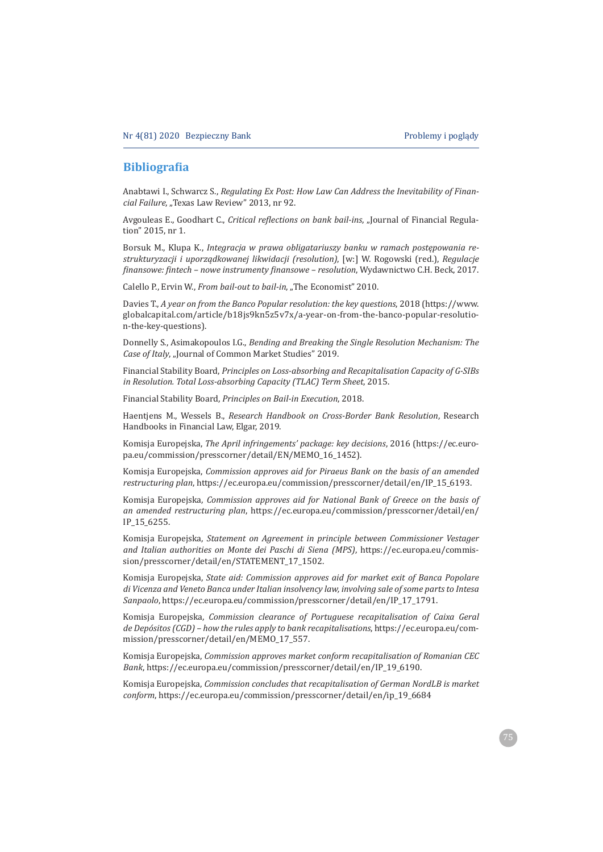### **Bibliograϐia**

Anabtawi I., Schwarcz S., Regulating Ex Post: How Law Can Address the Inevitability of Finan*cial Failure*, "Texas Law Review" 2013, nr 92.

Avgouleas E., Goodhart C., Critical reflections on bank bail-ins, "Journal of Financial Regulation" 2015, nr 1.

Borsuk M., Klupa K., *Integracja w prawa obligatariuszy banku w ramach postępowania restrukturyzacji i uporz¦dkowanej likwidacji (resolution)*ǡ ȏǣȐǤ ȋǤȌǡ*Regulacje finansowe: fintech – nowe instrumenty finansowe – resolution*, Wydawnictwo C.H. Beck, 2017.

Calello P., Ervin W., *From bail-out to bail-in*, "The Economist" 2010.

Davies T., A year on from the Banco Popular resolution: the key questions, 2018 (https://www. globalcapital.com/article/b18js9kn5z5v7x/a-year-on-from-the-banco-popular-resolution-the-key-questions).

Donnelly S., Asimakopoulos I.G., Bending and Breaking the Single Resolution Mechanism: The *Case of Italy*, "Journal of Common Market Studies" 2019.

 ǡ*Principles on Loss-absorbing and Recapitalisation Capacity of G-SIBs in Resolution. Total Loss-absorbing Capacity (TLAC) Term Sheet, 2015.* 

Financial Stability Board, Principles on Bail-in Execution, 2018.

Haentjens M., Wessels B., Research Handbook on Cross-Border Bank Resolution, Research Handbooks in Financial Law, Elgar, 2019.

Komisja Europejska, *The April infringements' package: key decisions*, 2016 (https://ec.europa.eu/commission/presscorner/detail/EN/MEM0\_16\_1452).

ǡ*Commission approves aid for Piraeus Bank on the basis of an amended restructuring plan.https://ec.europa.eu/commission/presscorner/detail/en/IP 15 6193.* 

 ǡ *Commission approves aid for National Bank of Greece on the basis of an amended restructuring plan, https://ec.europa.eu/commission/presscorner/detail/en/* IP\_15\_6255.

 ǡ *Statement on Agreement in principle between Commissioner Vestager and Italian authorities on Monte dei Paschi di Siena (MPS)*, https://ec.europa.eu/commission/presscorner/detail/en/STATEMENT\_17\_1502.

ǡ*State aid: Commission approves aid for market exit of Banca Popolare di Vicenza and Veneto Banca under Italian insolvency law, involving sale of some parts to Intesa*  Sanpaolo, https://ec.europa.eu/commission/presscorner/detail/en/IP\_17\_1791.

 ǡ *Commission clearance of Portuguese recapitalisation of Caixa Geral de Depósitos (CGD) – how the rules apply to bank recapitalisations*, https://ec.europa.eu/commission/presscorner/detail/en/MEMO\_17\_557.

ǡ*Commission approves market conform recapitalisation of Romanian CEC Bank*, https://ec.europa.eu/commission/presscorner/detail/en/IP\_19\_6190.

ǡ*Commission concludes that recapitalisation of German NordLB is market conform*, https://ec.europa.eu/commission/presscorner/detail/en/ip\_19\_6684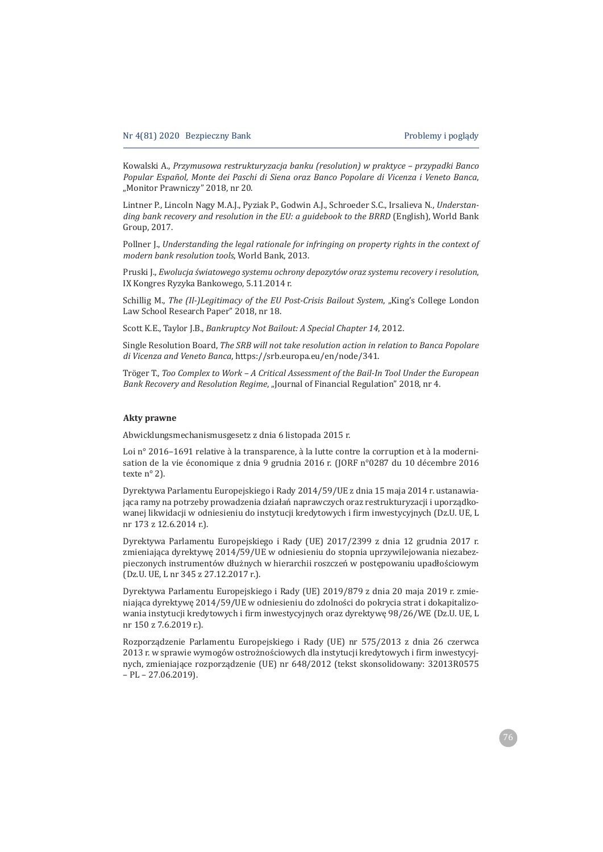Ǥǡ*Przymusowa restrukturyzacja banku (resolution) w praktyce – przypadki Banco Popular Español, Monte dei Paschi di Siena oraz Banco Popolare di Vicenza i Veneto Banca*ǡ "Monitor Prawniczy" 2018, nr 20.

Lintner P., Lincoln Nagy M.A.J., Pyziak P., Godwin A.J., Schroeder S.C., Irsalieva N., Understan*ding bank recovery and resolution in the EU: a guidebook to the BRRD* (English), World Bank Group, 2017.

Pollner *I., Understanding the legal rationale for infringing on property rights in the context of modern bank resolution tools*, World Bank, 2013.

Ǥǡ*Ewolucja äwiatowego systemu ochrony depozytów oraz systemu recovery i resolution*ǡ IX Kongres Ryzyka Bankowego, 5.11.2014 r.

Schillig M., The (Il-)Legitimacy of the EU Post-Crisis Bailout System, "King's College London Law School Research Paper" 2018, nr 18.

Scott K.E., Taylor J.B., *Bankruptcy Not Bailout: A Special Chapter 14*, 2012.

ǡ*The SRB will not take resolution action in relation to Banca Popolare di Vicenza and Veneto Banca*, https://srb.europa.eu/en/node/341.

Tröger T., Too Complex to Work - A Critical Assessment of the Bail-In Tool Under the European Bank Recovery and Resolution Regime, "Journal of Financial Regulation" 2018, nr 4.

#### **Akty prawne**

Abwicklungsmechanismusgesetz z dnia 6 listopada 2015 r.

Loi nº 2016-1691 relative à la transparence, à la lutte contre la corruption et à la modernisation de la vie économique z dnia 9 grudnia 2016 r. (JORF n°0287 du 10 décembre 2016 texte nº 2).

Dyrektywa Parlamentu Europejskiego i Rady 2014/59/UE z dnia 15 maja 2014 r. ustanawiająca ramy na potrzeby prowadzenia działań naprawczych oraz restrukturyzacji i uporządkowanej likwidacji w odniesieniu do instytucji kredytowych i firm inwestycyjnych (Dz.U. UE, L nr 173 z 12.6.2014 r.).

Dyrektywa Parlamentu Europejskiego i Rady (UE) 2017/2399 z dnia 12 grudnia 2017 r. zmieniająca dyrektywę 2014/59/UE w odniesieniu do stopnia uprzywilejowania niezabezpieczonych instrumentów dłużnych w hierarchii roszczeń w postępowaniu upadłościowym (Dz.U. UE, L nr 345 z 27.12.2017 r.).

Dyrektywa Parlamentu Europejskiego i Rady (UE) 2019/879 z dnia 20 maja 2019 r. zmieniająca dyrektywę 2014/59/UE w odniesieniu do zdolności do pokrycia strat i dokapitalizowania instytucji kredytowych i firm inwestycyjnych oraz dyrektywę 98/26/WE (Dz.U. UE, L nr 150 z 7.6.2019 r.).

Rozporządzenie Parlamentu Europejskiego i Rady (UE) nr 575/2013 z dnia 26 czerwca 2013 r. w sprawie wymogów ostrożnościowych dla instytucji kredytowych i firm inwestycyjnych, zmieniające rozporządzenie (UE) nr 648/2012 (tekst skonsolidowany: 32013R0575  $-$  PL $-$  27.06.2019).